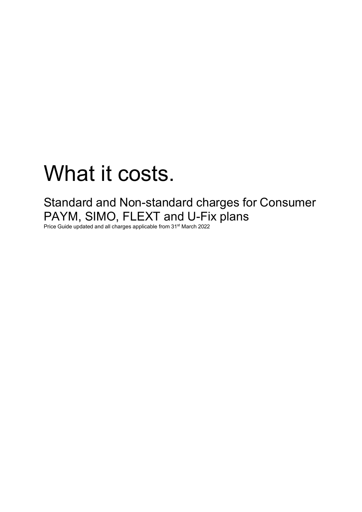# What it costs.

Standard and Non-standard charges for Consumer PAYM, SIMO, FLEXT and U-Fix plans

Price Guide updated and all charges applicable from 31<sup>st</sup> March 2022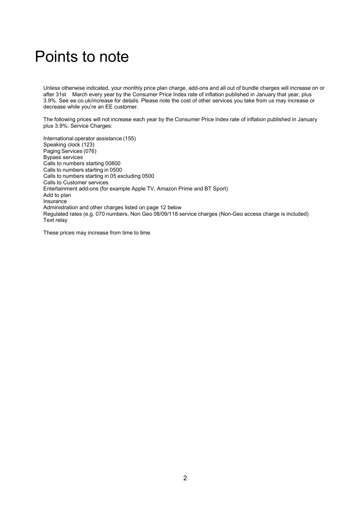# Points to note

Unless otherwise indicated, your monthly price plan charge, add-ons and all out of bundle charges will increase on or after 31st March every year by the Consumer Price Index rate of inflation published in January that year, plus 3.9%. See ee.co.uk/increase for details. Please note the cost of other services you take from us may increase or decrease while you're an EE customer.

The following prices will not increase each year by the Consumer Price Index rate of inflation published in January plus 3.9%: Service Charges:

International operator assistance (155) Speaking clock (123) Paging Services (076) Bypass services Calls to numbers starting 00800 Calls to numbers starting in 0500 Calls to numbers starting in 05 excluding 0500 Calls to Customer services Entertainment add-ons (for example Apple TV, Amazon Prime and BT Sport) Add to plan Insurance Administration and other charges listed on page 12 below Regulated rates (e.g. 070 numbers, Non Geo 08/09/118 service charges (Non-Geo access charge is included) Text relay

These prices may increase from time to time.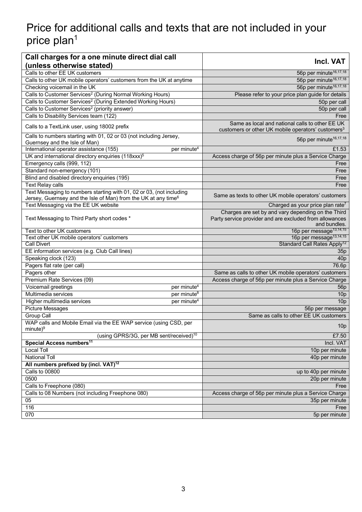# Price for additional calls and texts that are not included in your price plan<sup>1</sup>

| Calls to other EE UK customers<br>56p per minute <sup>16,17,18</sup><br>56p per minute <sup>16,17,18</sup><br>Calls to other UK mobile operators' customers from the UK at anytime<br>56p per minute <sup>16,17,18</sup><br>Checking voicemail in the UK<br>Calls to Customer Services <sup>2</sup> (During Normal Working Hours)<br>Please refer to your price plan guide for details<br>Calls to Customer Services <sup>2</sup> (During Extended Working Hours)<br>50p per call<br>Calls to Customer Services <sup>2</sup> (priority answer)<br>50p per call<br>Calls to Disability Services team (122)<br>Free<br>Same as local and national calls to other EE UK<br>Calls to a TextLink user, using 18002 prefix<br>customers or other UK mobile operators' customers <sup>3</sup><br>Calls to numbers starting with 01, 02 or 03 (not including Jersey,<br>56p per minute <sup>16,17,18</sup><br>Guernsey and the Isle of Man)<br>International operator assistance (155)<br>£1.53<br>per minute <sup>4</sup><br>UK and international directory enquiries (118xxx) <sup>5</sup><br>Access charge of 56p per minute plus a Service Charge<br>Emergency calls (999, 112)<br>Free<br>Standard non-emergency (101)<br>Free<br>Blind and disabled directory enquiries (195)<br>Free<br><b>Text Relay calls</b><br>Free<br>Text Messaging to numbers starting with 01, 02 or 03, (not including<br>Same as texts to other UK mobile operators' customers<br>Jersey, Guernsey and the Isle of Man) from the UK at any time $6$<br>Text Messaging via the EE UK website<br>Charged as your price plan rate7<br>Charges are set by and vary depending on the Third<br>Party service provider and are excluded from allowances<br>Text Messaging to Third Party short codes *<br>and bundles.<br>16p per message <sup>13,14,15</sup><br>Text to other UK customers<br>Text other UK mobile operators' customers<br>16p per message <sup>13,14,15</sup><br>Standard Call Rates Apply <sup>12</sup><br><b>Call Divert</b><br>EE information services (e.g. Club Call lines)<br>35p<br>Speaking clock (123)<br>40 <sub>p</sub><br>Pagers flat rate (per call)<br>76.6p<br>Pagers other<br>Same as calls to other UK mobile operators' customers<br>Premium Rate Services (09)<br>Access charge of 56p per minute plus a Service Charge<br>Voicemail greetings<br>per minute <sup>4</sup><br>56 <sub>p</sub><br>Multimedia services<br>per minute <sup>8</sup><br>10 <sub>p</sub><br>Higher multimedia services<br>per minute <sup>4</sup><br>10 <sub>p</sub><br><b>Picture Messages</b><br>56p per message<br>Same as calls to other EE UK customers<br><b>Group Call</b><br>WAP calls and Mobile Email via the EE WAP service (using CSD, per<br>10 <sub>p</sub><br>$minute)^9$<br>(using GPRS/3G, per MB sent/received) <sup>10</sup><br>£7.50<br>Special Access numbers <sup>11</sup><br>Incl. VAT<br><b>Local Toll</b><br>10p per minute<br><b>National Toll</b><br>40p per minute<br>All numbers prefixed by (incl. VAT) <sup>12</sup><br><b>Calls to 00800</b><br>up to 40p per minute<br>0500<br>20p per minute<br>Calls to Freephone (080)<br>Free<br>Calls to 08 Numbers (not including Freephone 080)<br>Access charge of 56p per minute plus a Service Charge<br>05<br>35p per minute<br>116<br>Free<br>070<br>5p per minute | Call charges for a one minute direct dial call | Incl. VAT |
|---------------------------------------------------------------------------------------------------------------------------------------------------------------------------------------------------------------------------------------------------------------------------------------------------------------------------------------------------------------------------------------------------------------------------------------------------------------------------------------------------------------------------------------------------------------------------------------------------------------------------------------------------------------------------------------------------------------------------------------------------------------------------------------------------------------------------------------------------------------------------------------------------------------------------------------------------------------------------------------------------------------------------------------------------------------------------------------------------------------------------------------------------------------------------------------------------------------------------------------------------------------------------------------------------------------------------------------------------------------------------------------------------------------------------------------------------------------------------------------------------------------------------------------------------------------------------------------------------------------------------------------------------------------------------------------------------------------------------------------------------------------------------------------------------------------------------------------------------------------------------------------------------------------------------------------------------------------------------------------------------------------------------------------------------------------------------------------------------------------------------------------------------------------------------------------------------------------------------------------------------------------------------------------------------------------------------------------------------------------------------------------------------------------------------------------------------------------------------------------------------------------------------------------------------------------------------------------------------------------------------------------------------------------------------------------------------------------------------------------------------------------------------------------------------------------------------------------------------------------------------------------------------------------------------------------------------------------------------------------------------------------------------------------------------------------------------------------------------------------------------------------------------------------------------------------------------------------------------------------------------------------------------------------------------------------------------------|------------------------------------------------|-----------|
|                                                                                                                                                                                                                                                                                                                                                                                                                                                                                                                                                                                                                                                                                                                                                                                                                                                                                                                                                                                                                                                                                                                                                                                                                                                                                                                                                                                                                                                                                                                                                                                                                                                                                                                                                                                                                                                                                                                                                                                                                                                                                                                                                                                                                                                                                                                                                                                                                                                                                                                                                                                                                                                                                                                                                                                                                                                                                                                                                                                                                                                                                                                                                                                                                                                                                                                                 | (unless otherwise stated)                      |           |
|                                                                                                                                                                                                                                                                                                                                                                                                                                                                                                                                                                                                                                                                                                                                                                                                                                                                                                                                                                                                                                                                                                                                                                                                                                                                                                                                                                                                                                                                                                                                                                                                                                                                                                                                                                                                                                                                                                                                                                                                                                                                                                                                                                                                                                                                                                                                                                                                                                                                                                                                                                                                                                                                                                                                                                                                                                                                                                                                                                                                                                                                                                                                                                                                                                                                                                                                 |                                                |           |
|                                                                                                                                                                                                                                                                                                                                                                                                                                                                                                                                                                                                                                                                                                                                                                                                                                                                                                                                                                                                                                                                                                                                                                                                                                                                                                                                                                                                                                                                                                                                                                                                                                                                                                                                                                                                                                                                                                                                                                                                                                                                                                                                                                                                                                                                                                                                                                                                                                                                                                                                                                                                                                                                                                                                                                                                                                                                                                                                                                                                                                                                                                                                                                                                                                                                                                                                 |                                                |           |
|                                                                                                                                                                                                                                                                                                                                                                                                                                                                                                                                                                                                                                                                                                                                                                                                                                                                                                                                                                                                                                                                                                                                                                                                                                                                                                                                                                                                                                                                                                                                                                                                                                                                                                                                                                                                                                                                                                                                                                                                                                                                                                                                                                                                                                                                                                                                                                                                                                                                                                                                                                                                                                                                                                                                                                                                                                                                                                                                                                                                                                                                                                                                                                                                                                                                                                                                 |                                                |           |
|                                                                                                                                                                                                                                                                                                                                                                                                                                                                                                                                                                                                                                                                                                                                                                                                                                                                                                                                                                                                                                                                                                                                                                                                                                                                                                                                                                                                                                                                                                                                                                                                                                                                                                                                                                                                                                                                                                                                                                                                                                                                                                                                                                                                                                                                                                                                                                                                                                                                                                                                                                                                                                                                                                                                                                                                                                                                                                                                                                                                                                                                                                                                                                                                                                                                                                                                 |                                                |           |
|                                                                                                                                                                                                                                                                                                                                                                                                                                                                                                                                                                                                                                                                                                                                                                                                                                                                                                                                                                                                                                                                                                                                                                                                                                                                                                                                                                                                                                                                                                                                                                                                                                                                                                                                                                                                                                                                                                                                                                                                                                                                                                                                                                                                                                                                                                                                                                                                                                                                                                                                                                                                                                                                                                                                                                                                                                                                                                                                                                                                                                                                                                                                                                                                                                                                                                                                 |                                                |           |
|                                                                                                                                                                                                                                                                                                                                                                                                                                                                                                                                                                                                                                                                                                                                                                                                                                                                                                                                                                                                                                                                                                                                                                                                                                                                                                                                                                                                                                                                                                                                                                                                                                                                                                                                                                                                                                                                                                                                                                                                                                                                                                                                                                                                                                                                                                                                                                                                                                                                                                                                                                                                                                                                                                                                                                                                                                                                                                                                                                                                                                                                                                                                                                                                                                                                                                                                 |                                                |           |
|                                                                                                                                                                                                                                                                                                                                                                                                                                                                                                                                                                                                                                                                                                                                                                                                                                                                                                                                                                                                                                                                                                                                                                                                                                                                                                                                                                                                                                                                                                                                                                                                                                                                                                                                                                                                                                                                                                                                                                                                                                                                                                                                                                                                                                                                                                                                                                                                                                                                                                                                                                                                                                                                                                                                                                                                                                                                                                                                                                                                                                                                                                                                                                                                                                                                                                                                 |                                                |           |
|                                                                                                                                                                                                                                                                                                                                                                                                                                                                                                                                                                                                                                                                                                                                                                                                                                                                                                                                                                                                                                                                                                                                                                                                                                                                                                                                                                                                                                                                                                                                                                                                                                                                                                                                                                                                                                                                                                                                                                                                                                                                                                                                                                                                                                                                                                                                                                                                                                                                                                                                                                                                                                                                                                                                                                                                                                                                                                                                                                                                                                                                                                                                                                                                                                                                                                                                 |                                                |           |
|                                                                                                                                                                                                                                                                                                                                                                                                                                                                                                                                                                                                                                                                                                                                                                                                                                                                                                                                                                                                                                                                                                                                                                                                                                                                                                                                                                                                                                                                                                                                                                                                                                                                                                                                                                                                                                                                                                                                                                                                                                                                                                                                                                                                                                                                                                                                                                                                                                                                                                                                                                                                                                                                                                                                                                                                                                                                                                                                                                                                                                                                                                                                                                                                                                                                                                                                 |                                                |           |
|                                                                                                                                                                                                                                                                                                                                                                                                                                                                                                                                                                                                                                                                                                                                                                                                                                                                                                                                                                                                                                                                                                                                                                                                                                                                                                                                                                                                                                                                                                                                                                                                                                                                                                                                                                                                                                                                                                                                                                                                                                                                                                                                                                                                                                                                                                                                                                                                                                                                                                                                                                                                                                                                                                                                                                                                                                                                                                                                                                                                                                                                                                                                                                                                                                                                                                                                 |                                                |           |
|                                                                                                                                                                                                                                                                                                                                                                                                                                                                                                                                                                                                                                                                                                                                                                                                                                                                                                                                                                                                                                                                                                                                                                                                                                                                                                                                                                                                                                                                                                                                                                                                                                                                                                                                                                                                                                                                                                                                                                                                                                                                                                                                                                                                                                                                                                                                                                                                                                                                                                                                                                                                                                                                                                                                                                                                                                                                                                                                                                                                                                                                                                                                                                                                                                                                                                                                 |                                                |           |
|                                                                                                                                                                                                                                                                                                                                                                                                                                                                                                                                                                                                                                                                                                                                                                                                                                                                                                                                                                                                                                                                                                                                                                                                                                                                                                                                                                                                                                                                                                                                                                                                                                                                                                                                                                                                                                                                                                                                                                                                                                                                                                                                                                                                                                                                                                                                                                                                                                                                                                                                                                                                                                                                                                                                                                                                                                                                                                                                                                                                                                                                                                                                                                                                                                                                                                                                 |                                                |           |
|                                                                                                                                                                                                                                                                                                                                                                                                                                                                                                                                                                                                                                                                                                                                                                                                                                                                                                                                                                                                                                                                                                                                                                                                                                                                                                                                                                                                                                                                                                                                                                                                                                                                                                                                                                                                                                                                                                                                                                                                                                                                                                                                                                                                                                                                                                                                                                                                                                                                                                                                                                                                                                                                                                                                                                                                                                                                                                                                                                                                                                                                                                                                                                                                                                                                                                                                 |                                                |           |
|                                                                                                                                                                                                                                                                                                                                                                                                                                                                                                                                                                                                                                                                                                                                                                                                                                                                                                                                                                                                                                                                                                                                                                                                                                                                                                                                                                                                                                                                                                                                                                                                                                                                                                                                                                                                                                                                                                                                                                                                                                                                                                                                                                                                                                                                                                                                                                                                                                                                                                                                                                                                                                                                                                                                                                                                                                                                                                                                                                                                                                                                                                                                                                                                                                                                                                                                 |                                                |           |
|                                                                                                                                                                                                                                                                                                                                                                                                                                                                                                                                                                                                                                                                                                                                                                                                                                                                                                                                                                                                                                                                                                                                                                                                                                                                                                                                                                                                                                                                                                                                                                                                                                                                                                                                                                                                                                                                                                                                                                                                                                                                                                                                                                                                                                                                                                                                                                                                                                                                                                                                                                                                                                                                                                                                                                                                                                                                                                                                                                                                                                                                                                                                                                                                                                                                                                                                 |                                                |           |
|                                                                                                                                                                                                                                                                                                                                                                                                                                                                                                                                                                                                                                                                                                                                                                                                                                                                                                                                                                                                                                                                                                                                                                                                                                                                                                                                                                                                                                                                                                                                                                                                                                                                                                                                                                                                                                                                                                                                                                                                                                                                                                                                                                                                                                                                                                                                                                                                                                                                                                                                                                                                                                                                                                                                                                                                                                                                                                                                                                                                                                                                                                                                                                                                                                                                                                                                 |                                                |           |
|                                                                                                                                                                                                                                                                                                                                                                                                                                                                                                                                                                                                                                                                                                                                                                                                                                                                                                                                                                                                                                                                                                                                                                                                                                                                                                                                                                                                                                                                                                                                                                                                                                                                                                                                                                                                                                                                                                                                                                                                                                                                                                                                                                                                                                                                                                                                                                                                                                                                                                                                                                                                                                                                                                                                                                                                                                                                                                                                                                                                                                                                                                                                                                                                                                                                                                                                 |                                                |           |
|                                                                                                                                                                                                                                                                                                                                                                                                                                                                                                                                                                                                                                                                                                                                                                                                                                                                                                                                                                                                                                                                                                                                                                                                                                                                                                                                                                                                                                                                                                                                                                                                                                                                                                                                                                                                                                                                                                                                                                                                                                                                                                                                                                                                                                                                                                                                                                                                                                                                                                                                                                                                                                                                                                                                                                                                                                                                                                                                                                                                                                                                                                                                                                                                                                                                                                                                 |                                                |           |
|                                                                                                                                                                                                                                                                                                                                                                                                                                                                                                                                                                                                                                                                                                                                                                                                                                                                                                                                                                                                                                                                                                                                                                                                                                                                                                                                                                                                                                                                                                                                                                                                                                                                                                                                                                                                                                                                                                                                                                                                                                                                                                                                                                                                                                                                                                                                                                                                                                                                                                                                                                                                                                                                                                                                                                                                                                                                                                                                                                                                                                                                                                                                                                                                                                                                                                                                 |                                                |           |
|                                                                                                                                                                                                                                                                                                                                                                                                                                                                                                                                                                                                                                                                                                                                                                                                                                                                                                                                                                                                                                                                                                                                                                                                                                                                                                                                                                                                                                                                                                                                                                                                                                                                                                                                                                                                                                                                                                                                                                                                                                                                                                                                                                                                                                                                                                                                                                                                                                                                                                                                                                                                                                                                                                                                                                                                                                                                                                                                                                                                                                                                                                                                                                                                                                                                                                                                 |                                                |           |
|                                                                                                                                                                                                                                                                                                                                                                                                                                                                                                                                                                                                                                                                                                                                                                                                                                                                                                                                                                                                                                                                                                                                                                                                                                                                                                                                                                                                                                                                                                                                                                                                                                                                                                                                                                                                                                                                                                                                                                                                                                                                                                                                                                                                                                                                                                                                                                                                                                                                                                                                                                                                                                                                                                                                                                                                                                                                                                                                                                                                                                                                                                                                                                                                                                                                                                                                 |                                                |           |
|                                                                                                                                                                                                                                                                                                                                                                                                                                                                                                                                                                                                                                                                                                                                                                                                                                                                                                                                                                                                                                                                                                                                                                                                                                                                                                                                                                                                                                                                                                                                                                                                                                                                                                                                                                                                                                                                                                                                                                                                                                                                                                                                                                                                                                                                                                                                                                                                                                                                                                                                                                                                                                                                                                                                                                                                                                                                                                                                                                                                                                                                                                                                                                                                                                                                                                                                 |                                                |           |
|                                                                                                                                                                                                                                                                                                                                                                                                                                                                                                                                                                                                                                                                                                                                                                                                                                                                                                                                                                                                                                                                                                                                                                                                                                                                                                                                                                                                                                                                                                                                                                                                                                                                                                                                                                                                                                                                                                                                                                                                                                                                                                                                                                                                                                                                                                                                                                                                                                                                                                                                                                                                                                                                                                                                                                                                                                                                                                                                                                                                                                                                                                                                                                                                                                                                                                                                 |                                                |           |
|                                                                                                                                                                                                                                                                                                                                                                                                                                                                                                                                                                                                                                                                                                                                                                                                                                                                                                                                                                                                                                                                                                                                                                                                                                                                                                                                                                                                                                                                                                                                                                                                                                                                                                                                                                                                                                                                                                                                                                                                                                                                                                                                                                                                                                                                                                                                                                                                                                                                                                                                                                                                                                                                                                                                                                                                                                                                                                                                                                                                                                                                                                                                                                                                                                                                                                                                 |                                                |           |
|                                                                                                                                                                                                                                                                                                                                                                                                                                                                                                                                                                                                                                                                                                                                                                                                                                                                                                                                                                                                                                                                                                                                                                                                                                                                                                                                                                                                                                                                                                                                                                                                                                                                                                                                                                                                                                                                                                                                                                                                                                                                                                                                                                                                                                                                                                                                                                                                                                                                                                                                                                                                                                                                                                                                                                                                                                                                                                                                                                                                                                                                                                                                                                                                                                                                                                                                 |                                                |           |
|                                                                                                                                                                                                                                                                                                                                                                                                                                                                                                                                                                                                                                                                                                                                                                                                                                                                                                                                                                                                                                                                                                                                                                                                                                                                                                                                                                                                                                                                                                                                                                                                                                                                                                                                                                                                                                                                                                                                                                                                                                                                                                                                                                                                                                                                                                                                                                                                                                                                                                                                                                                                                                                                                                                                                                                                                                                                                                                                                                                                                                                                                                                                                                                                                                                                                                                                 |                                                |           |
|                                                                                                                                                                                                                                                                                                                                                                                                                                                                                                                                                                                                                                                                                                                                                                                                                                                                                                                                                                                                                                                                                                                                                                                                                                                                                                                                                                                                                                                                                                                                                                                                                                                                                                                                                                                                                                                                                                                                                                                                                                                                                                                                                                                                                                                                                                                                                                                                                                                                                                                                                                                                                                                                                                                                                                                                                                                                                                                                                                                                                                                                                                                                                                                                                                                                                                                                 |                                                |           |
|                                                                                                                                                                                                                                                                                                                                                                                                                                                                                                                                                                                                                                                                                                                                                                                                                                                                                                                                                                                                                                                                                                                                                                                                                                                                                                                                                                                                                                                                                                                                                                                                                                                                                                                                                                                                                                                                                                                                                                                                                                                                                                                                                                                                                                                                                                                                                                                                                                                                                                                                                                                                                                                                                                                                                                                                                                                                                                                                                                                                                                                                                                                                                                                                                                                                                                                                 |                                                |           |
|                                                                                                                                                                                                                                                                                                                                                                                                                                                                                                                                                                                                                                                                                                                                                                                                                                                                                                                                                                                                                                                                                                                                                                                                                                                                                                                                                                                                                                                                                                                                                                                                                                                                                                                                                                                                                                                                                                                                                                                                                                                                                                                                                                                                                                                                                                                                                                                                                                                                                                                                                                                                                                                                                                                                                                                                                                                                                                                                                                                                                                                                                                                                                                                                                                                                                                                                 |                                                |           |
|                                                                                                                                                                                                                                                                                                                                                                                                                                                                                                                                                                                                                                                                                                                                                                                                                                                                                                                                                                                                                                                                                                                                                                                                                                                                                                                                                                                                                                                                                                                                                                                                                                                                                                                                                                                                                                                                                                                                                                                                                                                                                                                                                                                                                                                                                                                                                                                                                                                                                                                                                                                                                                                                                                                                                                                                                                                                                                                                                                                                                                                                                                                                                                                                                                                                                                                                 |                                                |           |
|                                                                                                                                                                                                                                                                                                                                                                                                                                                                                                                                                                                                                                                                                                                                                                                                                                                                                                                                                                                                                                                                                                                                                                                                                                                                                                                                                                                                                                                                                                                                                                                                                                                                                                                                                                                                                                                                                                                                                                                                                                                                                                                                                                                                                                                                                                                                                                                                                                                                                                                                                                                                                                                                                                                                                                                                                                                                                                                                                                                                                                                                                                                                                                                                                                                                                                                                 |                                                |           |
|                                                                                                                                                                                                                                                                                                                                                                                                                                                                                                                                                                                                                                                                                                                                                                                                                                                                                                                                                                                                                                                                                                                                                                                                                                                                                                                                                                                                                                                                                                                                                                                                                                                                                                                                                                                                                                                                                                                                                                                                                                                                                                                                                                                                                                                                                                                                                                                                                                                                                                                                                                                                                                                                                                                                                                                                                                                                                                                                                                                                                                                                                                                                                                                                                                                                                                                                 |                                                |           |
|                                                                                                                                                                                                                                                                                                                                                                                                                                                                                                                                                                                                                                                                                                                                                                                                                                                                                                                                                                                                                                                                                                                                                                                                                                                                                                                                                                                                                                                                                                                                                                                                                                                                                                                                                                                                                                                                                                                                                                                                                                                                                                                                                                                                                                                                                                                                                                                                                                                                                                                                                                                                                                                                                                                                                                                                                                                                                                                                                                                                                                                                                                                                                                                                                                                                                                                                 |                                                |           |
|                                                                                                                                                                                                                                                                                                                                                                                                                                                                                                                                                                                                                                                                                                                                                                                                                                                                                                                                                                                                                                                                                                                                                                                                                                                                                                                                                                                                                                                                                                                                                                                                                                                                                                                                                                                                                                                                                                                                                                                                                                                                                                                                                                                                                                                                                                                                                                                                                                                                                                                                                                                                                                                                                                                                                                                                                                                                                                                                                                                                                                                                                                                                                                                                                                                                                                                                 |                                                |           |
|                                                                                                                                                                                                                                                                                                                                                                                                                                                                                                                                                                                                                                                                                                                                                                                                                                                                                                                                                                                                                                                                                                                                                                                                                                                                                                                                                                                                                                                                                                                                                                                                                                                                                                                                                                                                                                                                                                                                                                                                                                                                                                                                                                                                                                                                                                                                                                                                                                                                                                                                                                                                                                                                                                                                                                                                                                                                                                                                                                                                                                                                                                                                                                                                                                                                                                                                 |                                                |           |
|                                                                                                                                                                                                                                                                                                                                                                                                                                                                                                                                                                                                                                                                                                                                                                                                                                                                                                                                                                                                                                                                                                                                                                                                                                                                                                                                                                                                                                                                                                                                                                                                                                                                                                                                                                                                                                                                                                                                                                                                                                                                                                                                                                                                                                                                                                                                                                                                                                                                                                                                                                                                                                                                                                                                                                                                                                                                                                                                                                                                                                                                                                                                                                                                                                                                                                                                 |                                                |           |
|                                                                                                                                                                                                                                                                                                                                                                                                                                                                                                                                                                                                                                                                                                                                                                                                                                                                                                                                                                                                                                                                                                                                                                                                                                                                                                                                                                                                                                                                                                                                                                                                                                                                                                                                                                                                                                                                                                                                                                                                                                                                                                                                                                                                                                                                                                                                                                                                                                                                                                                                                                                                                                                                                                                                                                                                                                                                                                                                                                                                                                                                                                                                                                                                                                                                                                                                 |                                                |           |
|                                                                                                                                                                                                                                                                                                                                                                                                                                                                                                                                                                                                                                                                                                                                                                                                                                                                                                                                                                                                                                                                                                                                                                                                                                                                                                                                                                                                                                                                                                                                                                                                                                                                                                                                                                                                                                                                                                                                                                                                                                                                                                                                                                                                                                                                                                                                                                                                                                                                                                                                                                                                                                                                                                                                                                                                                                                                                                                                                                                                                                                                                                                                                                                                                                                                                                                                 |                                                |           |
|                                                                                                                                                                                                                                                                                                                                                                                                                                                                                                                                                                                                                                                                                                                                                                                                                                                                                                                                                                                                                                                                                                                                                                                                                                                                                                                                                                                                                                                                                                                                                                                                                                                                                                                                                                                                                                                                                                                                                                                                                                                                                                                                                                                                                                                                                                                                                                                                                                                                                                                                                                                                                                                                                                                                                                                                                                                                                                                                                                                                                                                                                                                                                                                                                                                                                                                                 |                                                |           |
|                                                                                                                                                                                                                                                                                                                                                                                                                                                                                                                                                                                                                                                                                                                                                                                                                                                                                                                                                                                                                                                                                                                                                                                                                                                                                                                                                                                                                                                                                                                                                                                                                                                                                                                                                                                                                                                                                                                                                                                                                                                                                                                                                                                                                                                                                                                                                                                                                                                                                                                                                                                                                                                                                                                                                                                                                                                                                                                                                                                                                                                                                                                                                                                                                                                                                                                                 |                                                |           |
|                                                                                                                                                                                                                                                                                                                                                                                                                                                                                                                                                                                                                                                                                                                                                                                                                                                                                                                                                                                                                                                                                                                                                                                                                                                                                                                                                                                                                                                                                                                                                                                                                                                                                                                                                                                                                                                                                                                                                                                                                                                                                                                                                                                                                                                                                                                                                                                                                                                                                                                                                                                                                                                                                                                                                                                                                                                                                                                                                                                                                                                                                                                                                                                                                                                                                                                                 |                                                |           |
|                                                                                                                                                                                                                                                                                                                                                                                                                                                                                                                                                                                                                                                                                                                                                                                                                                                                                                                                                                                                                                                                                                                                                                                                                                                                                                                                                                                                                                                                                                                                                                                                                                                                                                                                                                                                                                                                                                                                                                                                                                                                                                                                                                                                                                                                                                                                                                                                                                                                                                                                                                                                                                                                                                                                                                                                                                                                                                                                                                                                                                                                                                                                                                                                                                                                                                                                 |                                                |           |
|                                                                                                                                                                                                                                                                                                                                                                                                                                                                                                                                                                                                                                                                                                                                                                                                                                                                                                                                                                                                                                                                                                                                                                                                                                                                                                                                                                                                                                                                                                                                                                                                                                                                                                                                                                                                                                                                                                                                                                                                                                                                                                                                                                                                                                                                                                                                                                                                                                                                                                                                                                                                                                                                                                                                                                                                                                                                                                                                                                                                                                                                                                                                                                                                                                                                                                                                 |                                                |           |
|                                                                                                                                                                                                                                                                                                                                                                                                                                                                                                                                                                                                                                                                                                                                                                                                                                                                                                                                                                                                                                                                                                                                                                                                                                                                                                                                                                                                                                                                                                                                                                                                                                                                                                                                                                                                                                                                                                                                                                                                                                                                                                                                                                                                                                                                                                                                                                                                                                                                                                                                                                                                                                                                                                                                                                                                                                                                                                                                                                                                                                                                                                                                                                                                                                                                                                                                 |                                                |           |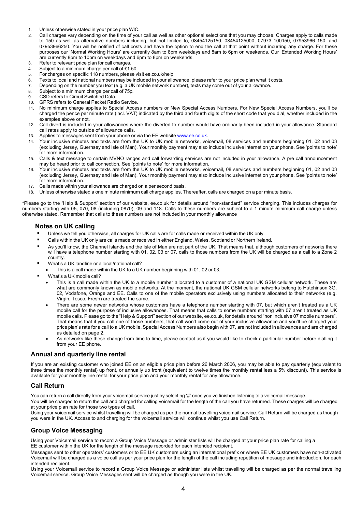- 1. Unless otherwise stated in your price plan WIC.
- 2. Call charges vary depending on the time of your call as well as other optional selections that you may choose. Charges apply to calls made to 150 as well as alternative numbers including, but not limited to, 08454125150, 08454125000, 07973 100150, 07953966 150, and 07953966250. You will be notified of call costs and have the option to end the call at that point without incurring any charge. For these purposes our 'Normal Working Hours' are currently 8am to 8pm weekdays and 8am to 6pm on weekends. Our 'Extended Working Hours' are currently 8pm to 10pm on weekdays and 6pm to 8pm on weekends.
- 3. Refer to relevant price plan for call charges.
- 4. Subject to a minimum charge per call of £1.50.
- 5. For charges on specific 118 numbers, please visit ee.co.uk/help
- 6. Texts to local and national numbers may be included in your allowance, please refer to your price plan what it costs.<br>7. Depending on the number you text (e.g. a LIK mobile network number), texts may come out of your a
- Depending on the number you text (e.g. a UK mobile network number), texts may come out of your allowance.
- 8. Subject to a minimum charge per call of 75p.
- 9. CSD refers to Circuit Switched Data.<br>10. GPRS refers to General Packet Rad
- 10. GPRS refers to General Packet Radio Service.
- 11. No minimum charge applies to Special Access numbers or New Special Access Numbers. For New Special Access Numbers, you'll be charged the pence per minute rate (incl. VAT) indicated by the third and fourth digits of the short code that you dial, whether included in the examples above or not.
- 12. Call divert is included in your allowances where the diverted to number would have ordinarily been included in your allowance. Standard call rates apply to outside of allowance calls.
- 13. Applies to messages sent from your phone or via the EE websit[e www.ee.co.uk.](http://www.ee.co.uk/)
- 14. Your inclusive minutes and texts are from the UK to UK mobile networks, voicemail, 08 services and numbers beginning 01, 02 and 03 (excluding Jersey, Guernsey and Isle of Man). Your monthly payment may also include inclusive internet on your phone. See 'points to note' for more information.
- 15. Calls & text message to certain MVNO ranges and call forwarding services are not included in your allowance. A pre call announcement may be heard prior to call connection. See 'points to note' for more information.
- 16. Your inclusive minutes and texts are from the UK to UK mobile networks, voicemail, 08 services and numbers beginning 01, 02 and 03 (excluding Jersey, Guernsey and Isle of Man). Your monthly payment may also include inclusive internet on your phone. See 'points to note' for more information.
- 17. Calls made within your allowance are charged on a per second basis.
- 18. Unless otherwise stated a one minute minimum call charge applies. Thereafter, calls are charged on a per minute basis.

\*Please go to the "Help & Support" section of our website, ee.co.uk for details around "non-standard" service charging. This includes charges for numbers starting with 05, 070, 08 (including 0870), 09 and 118. Calls to these numbers are subject to a 1 minute minimum call charge unless otherwise stated. Remember that calls to these numbers are not included in your monthly allowance

#### **Notes on UK calling**

- Unless we tell you otherwise, all charges for UK calls are for calls made or received within the UK only.
- Calls within the UK only are calls made or received in either England, Wales, Scotland or Northern Ireland.
- As you'll know, the Channel Islands and the Isle of Man are not part of the UK. That means that, although customers of networks there will have a telephone number starting with 01, 02, 03 or 07, calls to those numbers from the UK will be charged as a call to a Zone 2 country.
- What's a UK landline or a local/national call?
	- This is a call made within the UK to a UK number beginning with 01, 02 or 03.
- What's a UK mobile call?
	- This is a call made within the UK to a mobile number allocated to a customer of a national UK GSM cellular network. These are what are commonly known as mobile networks. At the moment, the national UK GSM cellular networks belong to Hutchinson 3G, 02, Vodafone, Orange and EE. Calls to one of the mobile operators exclusively using numbers allocated to their networks (e.g. Virgin, Tesco, Fresh) are treated the same.
	- There are some newer networks whose customers have a telephone number starting with 07, but which aren't treated as a UK mobile call for the purpose of inclusive allowances. That means that calls to some numbers starting with 07 aren't treated as UK mobile calls. Please go to the "Help & Support" section of our website, ee.co.uk, for details around "non inclusive 07 mobile numbers". That means that if you call one of those numbers, that call won't come out of your inclusive allowance and you'll be charged your price plan's rate for a call to a UK mobile. Special Access Numbers also begin with 07, are not included in allowances and are charged as detailed on page 2.
	- As networks like these change from time to time, please contact us if you would like to check a particular number before dialling it from your EE phone.

#### **Annual and quarterly line rental**

If you are an existing customer who joined EE on an eligible price plan before 26 March 2006, you may be able to pay quarterly (equivalent to three times the monthly rental) up front, or annually up front (equivalent to twelve times the monthly rental less a 5% discount). This service is available for your monthly line rental for your price plan and your monthly rental for any allowance.

#### **Call Return**

You can return a call directly from your voicemail service just by selecting '#' once you've finished listening to a voicemail message.

You will be charged to return the call and charged for calling voicemail for the length of the call you have returned. These charges will be charged at your price plan rate for those two types of call.

Using your voicemail service whilst travelling will be charged as per the normal travelling voicemail service. Call Return will be charged as though you were in the UK. Access to and charging for the voicemail service will continue whilst you use Call Return.

#### **Group Voice Messaging**

Using your Voicemail service to record a Group Voice Message or administer lists will be charged at your price plan rate for calling a EE customer within the UK for the length of the message recorded for each intended recipient.

Messages sent to other operators' customers or to EE UK customers using an international prefix or where EE UK customers have non-activated Voicemail will be charged as a voice call as per your price plan for the length of the call including repetition of message and introduction, for each intended recipient.

Using your Voicemail service to record a Group Voice Message or administer lists whilst travelling will be charged as per the normal travelling Voicemail service. Group Voice Messages sent will be charged as though you were in the UK.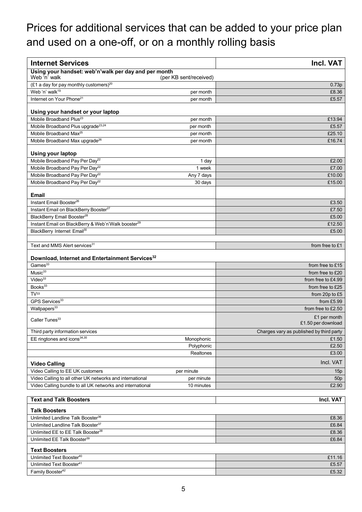# Prices for additional services that can be added to your price plan and used on a one-off, or on a monthly rolling basis

| <b>Internet Services</b>                                             |                        | Incl. VAT                                |
|----------------------------------------------------------------------|------------------------|------------------------------------------|
| Using your handset: web'n'walk per day and per month<br>Web 'n' walk | (per KB sent/received) |                                          |
| $(E1$ a day for pay monthly customers) <sup>20</sup>                 |                        | 0.73p                                    |
| Web 'n' walk <sup>19</sup>                                           | per month              | £8.36                                    |
| Internet on Your Phone <sup>21</sup>                                 | per month              | £5.57                                    |
| Using your handset or your laptop                                    |                        |                                          |
| Mobile Broadband Plus <sup>23</sup>                                  | per month              | £13.94                                   |
| Mobile Broadband Plus upgrade <sup>23,24</sup>                       | per month              | £5.57                                    |
| Mobile Broadband Max <sup>25</sup>                                   | per month              | £25.10                                   |
| Mobile Broadband Max upgrade <sup>26</sup>                           | per month              | £16.74                                   |
| <b>Using your laptop</b>                                             |                        |                                          |
| Mobile Broadband Pay Per Day <sup>22</sup>                           | 1 day                  | £2.00                                    |
| Mobile Broadband Pay Per Day <sup>22</sup>                           | 1 week                 | £7.00                                    |
| Mobile Broadband Pay Per Day <sup>22</sup>                           | Any 7 days             | £10.00                                   |
| Mobile Broadband Pay Per Day <sup>22</sup>                           | 30 days                | £15.00                                   |
| <b>Email</b>                                                         |                        |                                          |
| Instant Email Booster <sup>26</sup>                                  |                        | £3.50                                    |
| Instant Email on BlackBerry Booster <sup>27</sup>                    |                        | £7.50                                    |
| BlackBerry Email Booster <sup>28</sup>                               |                        | £5.00                                    |
| Instant Email on BlackBerry & Web'n'Walk booster <sup>29</sup>       |                        | £12.50                                   |
| BlackBerry Internet Email <sup>30</sup>                              |                        | £5.00                                    |
| Text and MMS Alert services <sup>31</sup>                            |                        | from free to £1                          |
| Download, Internet and Entertainment Services <sup>32</sup>          |                        |                                          |
| Games <sup>33</sup>                                                  |                        | from free to £15                         |
| $M$ usi $c^{33}$                                                     |                        | from free to £20                         |
| Video <sup>33</sup>                                                  |                        | from free to £4.99                       |
| Books <sup>33</sup>                                                  |                        | from free to £25                         |
| TV <sup>33</sup>                                                     |                        | from 20p to £5                           |
| GPS Services <sup>33</sup>                                           |                        | from £5.99                               |
| Wallpapers <sup>33</sup>                                             |                        | from free to £2.50                       |
| Caller Tunes <sup>33</sup>                                           |                        | £1 per month<br>£1.50 per download       |
| Third party information services                                     |                        | Charges vary as published by third party |
| EE ringtones and icons $34,35$                                       | Monophonic             | £1.50                                    |
|                                                                      | Polyphonic             | £2.50                                    |
|                                                                      | Realtones              | £3.00                                    |
| <b>Video Calling</b>                                                 |                        | Incl. VAT                                |
| Video Calling to EE UK customers                                     | per minute             | 15p                                      |
| Video Calling to all other UK networks and international             | per minute             | 50 <sub>p</sub>                          |
| Video Calling bundle to all UK networks and international            | 10 minutes             | £2.90                                    |
| <b>Text and Talk Boosters</b>                                        |                        | Incl. VAT                                |
| <b>Talk Boosters</b>                                                 |                        |                                          |
| Unlimited Landline Talk Booster <sup>36</sup>                        |                        | £8.36                                    |
| Unlimited Landline Talk Booster <sup>37</sup>                        |                        | £6.84                                    |
| Unlimited EE to EE Talk Booster <sup>38</sup>                        |                        | £8.36                                    |
| Unlimited EE Talk Booster <sup>39</sup>                              |                        | £6.84                                    |
| <b>Text Boosters</b>                                                 |                        |                                          |
| Unlimited Text Booster <sup>40</sup>                                 |                        | £11.16                                   |
| Unlimited Text Booster <sup>41</sup>                                 |                        | £5.57                                    |
| Family Booster <sup>42</sup>                                         |                        | £5.32                                    |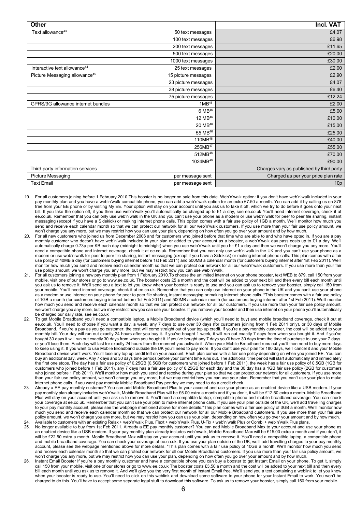| <b>Other</b>                              |                      | <b>Incl. VAT</b>                         |
|-------------------------------------------|----------------------|------------------------------------------|
| Text allowance <sup>43</sup>              | 50 text messages     | £4.07                                    |
|                                           | 100 text messages    | £6.98                                    |
|                                           | 200 text messages    | £11.65                                   |
|                                           | 500 text messages    | £20.00                                   |
|                                           | 1000 text messages   | £30.00                                   |
| Interactive text allowance <sup>44</sup>  | 25 text messages     | £2.00                                    |
| Picture Messaging allowance <sup>45</sup> | 15 picture messages  | £2.90                                    |
|                                           | 23 picture messages  | £4.07                                    |
|                                           | 38 picture messages  | £6.40                                    |
|                                           | 75 picture messages  | £12.24                                   |
| GPRS/3G allowance internet bundles        | $1MB^{46}$           | £2.00                                    |
|                                           | $6 MB^{46}$          | £5.00                                    |
|                                           | 12 MB <sup>46</sup>  | £10.00                                   |
|                                           | 20 MB <sup>46</sup>  | £15.00                                   |
|                                           | 55 MB <sup>46</sup>  | £25.00                                   |
|                                           | 110MB <sup>48</sup>  | £40.00                                   |
|                                           | 256MB <sup>47</sup>  | £55.00                                   |
|                                           | 512MB <sup>48</sup>  | £70.00                                   |
|                                           | 1024MB <sup>48</sup> | £90.00                                   |
| Third party information services          |                      | Charges vary as published by third party |
| Picture Messaging                         | per message sent     | Charged as per your price plan rate      |
| <b>Text Email</b>                         | per message sent     | 10 <sub>p</sub>                          |

- 19. For all customers joining before 1 February 2010.This booster is no longer on sale from this date. Web'n'walk option: if you don't have web'n'walk included in your pay monthly plan and you have a web'n'walk compatible phone, you can add a web'n'walk option for an extra £7.50 a month. You can add it by calling us on 878 free from your EE phone or by visiting My EE. Your option will stay on your account until you ask us to take it off, which we try to do before it goes onto your next bill. If you take the option off, if you then use web'n'walk you'll automatically be charged up to £1 a day, see ee.co.uk You'll need internet coverage, check it at ee.co.uk. Remember that you can only use web'n'walk in the UK and you can't use your phone as a modem or use web'n'walk for peer to peer file sharing, instant messaging (except if you have a Sidekick) or making internet phone calls. This option comes with a fair use policy of 1GB a month. We'll monitor how much you send and receive each calendar month so that we can protect our network for all our web'n'walk customers. If you use more than your fair use policy amount, we won't charge you any more, but we may restrict how you can use your plan, depending on how often you go over your amount and by how much.
- 20. For all new customers who joined us from December 2006 and for customers who joined before that time who are able to and who have opted in. If you are a pay monthly customer who doesn't have web'n'walk included in your plan or added to your account as a booster, a web'n'walk day pass costs up to £1 a day. We'll automatically charge 0.73p per KB each day (midnight to midnight) when you use web'n'walk until you hit £1 a day and then we won't charge you any more. You'll need a compatible phone and internet coverage, check it at ee.co.uk. Remember that you can only use web'n'walk in the UK and you can't use your phone as a modem or use web'n'walk for peer to peer file sharing, instant messaging (except if you have a Sidekick) or making internet phone calls. This plan comes with a fair use policy of 40MB a day (for customers buying internet before 1st Feb 2011) and 500MB a calendar month (for customers buying internet after 1st Feb 2011). We'll monitor how much you send and receive each calendar month so that we can protect our network for all our web'n'walk customers. If you use more than your fair use policy amount, we won't charge you any more, but we may restrict how you can use web'n'walk.
- 21. For all customers joining a new pay monthly plan from 1 February 2010.To choose the unlimited internet on your phone booster, text WEB to 879, call 150 from your mobile, visit one of our stores or go to [www.ee.co.uk. T](http://www.ee.co.uk/)he booster costs £5 a month and the cost will be added to your next bill and then every bill each month until you ask us to remove it. We'll send you a text to let you know when your booster is ready to use and you can ask us to remove your booster, simply call 150 from your mobile. You'll need internet coverage, check it at ee.co.uk. Remember that you can only use internet on your phone in the UK and you can't use your phone as a modem or use internet on your phone for peer to peer file sharing, instant messaging or making internet phone calls. \*This booster comes with a fair use policy of 1GB a month (for customers buying internet before 1st Feb 2011) and 500MB a calendar month (for customers buying internet after 1st Feb 2011). We'll monitor how much you send and receive each calendar month so that we can protect our network for all our customers. If you use more than your fair use policy amount we won't charge you any more, but we may restrict how you can use your booster. If you remove your booster and then use internet on your phone you'll automatically be charged our daily rate, see ee.co.uk
- 22. To get Mobile Broadband you'll need a compatible laptop, a Mobile Broadband device (which you'll need to buy) and mobile broadband coverage, check it out at ee.co.uk. You'll need to choose if you want a day, a week, any 7 days to use over 30 days (for customers joining from 1 Feb 2011 only), or 30 days of Mobile Broadband. If you're a pay as you go customer, the cost will come straight out of your top up credit. If you're a pay monthly customer, the cost will be added to your monthly bill. Your day will run out exactly 24 hours after you buy it. If you've bought 1 week, it will run out exactly 7 days from when you bought it. And if you've bought 30 days it will run out exactly 30 days from when you bought it. If you've bought any 7 days you'll have 30 days from the time of purchase to use your 7 days, or you'll lose them. Each day will last for exactly 24 hours from the moment you activate it. When your Mobile Broadband runs out you'll then need to buy more days to keep using it. If you want to use Mobile Broadband outside the UK you'll need to pay more. If you don't use your plan for 180 days, we'll cancel it and your Mobile Broadband device won't work. You'll lose any top up credit left on your account. Each plan comes with a fair use policy depending on when you joined EE. You can buy an additional day, week, Any 7 days and 30 days time periods before your current time runs out. The additional time period will start automatically and immediately the first one stops. The day has a fair use policy of 0.25GB (0.5GB for customers who joined before 1 Feb 2011), the week has a fair use policy of 0.5GB (1GB for customers who joined before 1 Feb 2011), any 7 days has a fair use policy of 0.25GB for each day and the 30 day has a 1GB fair use policy (2GB for customers who joined before 1 Feb 2011). We'll monitor how much you send and receive during your plan so that we can protect our network for all customers. If you use more than your fair use policy amount, we won't charge you any more, but we may restrict how you can use your plan. Remember that you can't use your plan to make internet phone calls. If you want pay monthly Mobile Broadband Pay per day we may need to do a credit check.
- 23. Already a EE pay monthly customer? You can add Mobile Broadband Plus to your account and use your phone as an enabled device like a USB modem. If your pay monthly plan already includes web'n'walk, Mobile Broadband Plus will be £5.00 extra a month and if you don't, it will be £12.50 extra a month. Mobile Broadband Plus will stay on your account until you ask us to remove it. You'll need a compatible laptop, compatible phone and mobile broadband coverage. You can check your coverage at ee.co.uk. Remember that you can't use your plan to make internet phone calls. If you use your plan outside of the UK, we'll add travelling charges to your pay monthly account, please see the webpage mentioned above for more details.\*This plan comes with a fair use policy of 3GB a month. We'll monitor how much you send and receive each calendar month so that we can protect our network for all our Mobile Broadband customers. If you use more than your fair use policy amount, we won't charge you any more, but we may restrict how you can use your plan, depending on how often you go over your amount and by how much.
- 24. Available to customers with an existing Relax + web'n'walk Plus, Flext + web'n'walk Plus, U-Fix + web'n'walk Plus or Combi + web'n'walk Plus plans. 25. No longer available to buy from 1st Feb 2011. Already a EE pay monthly customer? You can add Mobile Broadband Max to your account and use your phone as an enabled device like a USB modem. If your pay monthly plan already includes web'nwalk, Mobile Broadband Max will be £15.00 extra a month and if you don't, it will be £22.50 extra a month. Mobile Broadband Max will stay on your account until you ask us to remove it. You'll need a compatible laptop, a compatible phone and mobile broadband coverage. You can check your coverage at ee.co.uk. If you use your plan outside of the UK, we'll add travelling charges to your pay monthly account, please see the webpage mentioned above for more details. \*This plan comes with a fair use policy of 10GB a month. We'll monitor how much you send and receive each calendar month so that we can protect our network for all our Mobile Broadband customers. If you use more than your fair use policy amount, we won't charge you any more, but we may restrict how you can use your plan, depending on how often you go over your amount and by how much.
- 26. Instant Email Booster If you're a pay monthly customer and have a compatible phone you can buy a booster to get Instant Email on your phone. To get it, simply call 150 from your mobile, visit one of our stores or go to [www.ee.co.uk T](http://www.ee.co.uk/)he booster costs £3.50 a month and the cost will be added to your next bill and then every bill each month until you ask us to remove it. And we'll give you the very first month of Instant Email free. We'll send you a text containing a weblink to let you know when your booster is ready to use. You'll need to click on this weblink and download some software to your phone for your Instant Email to work. You won't be charged to do this. You'll have to accept some separate legal stuff to download this software. To ask us to remove your booster, simply call 150 from your mobile.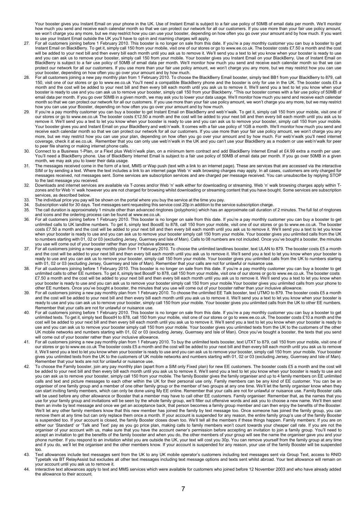Your booster gives you Instant Email on your phone in the UK. Use of Instant Email is subject to a fair use policy of 50MB of email data per month. We'll monitor how much you send and receive each calendar month so that we can protect our network for all our customers. If you use more than your fair use policy amount, we won't charge you any more, but we may restrict how you can use your booster, depending on how often you go over your amount and by how much. If you want to use your Instant Email outside the UK you'll have to opt-in and roaming charges will apply.

- 27. For all customers joining before 1 February 2010. This booster is no longer on sale from this date. If you're a pay monthly customer you can buy a booster to get Instant Email on BlackBerry. To get it, simply call 150 from your mobile, visit one of our stores or go to [www.ee.co.uk.](http://www.ee.co.uk/) The booster costs £7.50 a month and the cost will be added to your next bill and then every bill each month until you ask us to remove it. We'll send you a text to let you know when your booster is ready to use and you can ask us to remove your booster, simply call 150 from your mobile. Your booster gives you Instant Email on your BlackBerry. Use of Instant Email on BlackBerry is subject to a fair use policy of 50MB of email data per month. We'll monitor how much you send and receive each calendar month so that we can protect our network for all our customers. If you use more than your fair use policy amount, we won't charge you any more, but we may restrict how you can use your booster, depending on how often you go over your amount and by how much.
- 28. For all customers joining a new pay monthly plan from 1 February 2010. To choose the BlackBerry Email booster, simply text BB1 from your BlackBerry to 879, call 150, visit one of our stores or go t[o www.ee.co.uk Y](http://www.ee.co.uk/)ou'll need a compatible BlackBerry phone and the booster is only for use in the UK. The booster costs £5 a month and the cost will be added to your next bill and then every bill each month until you ask us to remove it. We'll send you a text to let you know when your booster is ready to use and you can ask us to remove your booster, simply call 150 from your Blackberry. \*This our booster comes with a fair use policy of 50MB of email data per month. If you go over 50MB in a given month, we may ask you to lower your data usage. We'll monitor how much you send and receive each calendar month so that we can protect our network for all our customers. If you use more than your fair use policy amount, we won't charge you any more, but we may restrict how you can use your Booster, depending on how often you go over your amount and by how much.
- 29. If you're a pay monthly customer you can buy a booster to get Instant Email on BlackBerry and web'n'walk. To get it, simply call 150 from your mobile, visit one of our stores or go t[o www.ee.co.uk T](http://www.ee.co.uk/)he booster costs £12.50 a month and the cost will be added to your next bill and then every bill each month until you ask us to remove it. We'll send you a text to let you know when your booster is ready to use and you can ask us to remove your booster, simply call 150 from your mobile. Your booster gives you and Instant Email on your BlackBerry and web'n'walk. It comes with a fair use policy of 1GB a month. We'll monitor how much you send and receive each calendar month so that we can protect our network for all our customers. If you use more than your fair use policy amount, we won't charge you any more, but we may restrict how you can use your plan, depending on how often you go over your amount and by how much. For web'n'walk you'll need internet coverage, check it at ee.co.uk. Remember that you can only use web'n'walk in the UK and you can't use your BlackBerry as a modem or use web'n'walk for peer to peer file sharing or making internet phone calls.
- 30. Connect to a Business 1-Plan, or a Flext plus Web'n'walk plan, on a minimum term contract and add BlackBerry Internet Email at £4.99 extra a month per user. You'll need a BlackBerry phone. Use of BlackBerry Internet Email is subject to a fair use policy of 50MB of email data per month. If you go over 50MB in a given month, we may ask you to lower their data usage.
- 31. The messages received come in the form of a text, MMS or Wap push (text with a link to an internet page). These are services that are accessed via the interactive SIM or by sending a text. Where the text includes a link to an internet page Web 'n' walk browsing charges may apply. In all cases, customers are only charged for messages received, not messages sent. Some services are subscription services and are charged per message received. You can unsubscribe by replying STOP to the last message you received.
- 32. Downloads and internet services are available via T-zones and/or Web 'n' walk either for downloading or streaming. Web 'n' walk browsing charges apply within Tzones and for Web 'n' walk however you are not charged for browsing whilst downloading or streaming content that you have bought. Some services are subscription services, as described below.
- 33. The individual price you pay will be shown on the portal where you buy the service at the time you pay.<br>34. Subscription valid for 30 days. Text messages sent requesting this service cost 20p in addition to the se
- 34. Subscription valid for 30 days. Text messages sent requesting this service cost 20p in addition to the service subscription charge.
- The call duration is approximately 1 minute other than advanced ringtones (polyphonic) which has an approximate call duration of 2 minutes. The full list of ringtones and icons and the ordering process can be found a[t www.ee.co.uk.](http://www.ee.co.uk/)
- 36. For all customers joining before 1 February 2010. This booster is no longer on sale from this date. If you're a pay monthly customer you can buy a booster to get unlimited calls to UK landline numbers. To get it, simply text BoostE to 878, call 150 from your mobile, visit one of our stores or go t[o www.ee.co.uk. T](http://www.ee.co.uk/)he booster costs £7.50 a month and the cost will be added to your next bill and then every bill each month until you ask us to remove it. We'll send you a text to let you know when your booster is ready to use and you can ask us to remove your booster simply call 150 from your mobile. Your booster gives you unlimited calls from the UK to numbers starting with 01, 02 or 03 (excluding Jersey, Guernsey and Isle of Man). Calls to 08 numbers are not included. Once you've bought a booster, the minutes you use will come out of your booster rather than your inclusive allowance.
- 37. For all customers joining a new pay monthly plan from 1 February 2010. To choose the unlimited landlines booster, text ULAN to 879. The booster costs £5 a month and the cost will be added to your next bill and then every bill each month until you ask us to remove it. We'll send you a text to let you know when your booster is ready to use and you can ask us to remove your booster, simply call 150 from your mobile. Your booster gives you unlimited calls from the UK to numbers starting with 01, 02 or 03 (excluding Jersey, Guernsey and Isle of Man). Remember that your calls are not for unlawful or nuisance use.
- 38. For all customers joining before 1 February 2010. This booster is no longer on sale from this date. If you're a pay monthly customer you can buy a booster to get unlimited calls to other EE numbers. To get it, simply text BoostF to 878, call 150 from your mobile, visit one of our stores or go to [www.ee.co.uk.](http://www.ee.co.uk/) The booster costs £7.50 a month and the cost will be added to your next bill and then every bill each month until you ask us to remove it. We'll send you a text to let you know when your booster is ready to use and you can ask us to remove your booster simply call 150 from your mobile.Your booster gives you unlimited calls from your phone to other EE numbers. Once you've bought a booster, the minutes that you use will come out of your booster rather than your inclusive allowance.
- 39. For all customers joining a new pay monthly plan from 1 February 2010. To choose the unlimited EE Talk booster, text UTMO to 879. The booster costs £5 a month and the cost will be added to your next bill and then every bill each month until you ask us to remove it. We'll send you a text to let you know when your booster is ready to use and you can ask us to remove your booster, simply call 150 from your mobile. Your booster gives you unlimited calls from the UK to other EE numbers. Remember that your calls are not for unlawful or nuisance use.
- 40. For all customers joining before 1 February 2010. This booster is no longer on sale from this date. If you're a pay monthly customer you can buy a booster to get unlimited texts. To get it, simply text BoostH to 878, call 150 from your mobile, visit one of our stores or go t[o www.ee.co.uk.](http://www.ee.co.uk/) The booster costs £10 a month and the cost will be added to your next bill and then every bill each month until you ask us to remove it. We'll send you a text to let you know when your booster is ready to use and you can ask us to remove your booster simply call 150 from your mobile. Your booster gives you unlimited texts from the UK to the customers of the other UK mobile networks and numbers starting with 01, 02 or 03 (excluding Jersey, Guernsey and Isle of Man). Once you've bought a booster, the texts that you send will come out of your booster rather than your inclusive allowance.
- 41. For all customers joining a new pay monthly plan from 1 February 2010. To buy the unlimited texts booster, text UTXT to 879, call 150 from your mobile, visit one of our stores or go to [www.ee.co.uk](http://www.ee.co.uk/) The booster costs £5 a month and the cost will be added to your next bill and then every bill each month until you ask us to remove it. We'll send you a text to let you know when your booster is ready to use and you can ask us to remove your booster, simply call 150 from your mobile. Your booster gives you unlimited texts from the UK to the customers of UK mobile networks and numbers starting with 01, 02 or 03 (excluding Jersey, Guernsey and Isle of Man). Remember that your texts are not for unlawful or nuisance use.
- 42. To choose the Family booster, join any pay monthly plan (apart from a SIM only Fixed plan) for new EE customers. The booster costs £5 a month and the cost will be added to your next bill and then every bill each month until you ask us to remove it. We'll send you a text to let you know when your booster is ready to use and you can ask us to remove your booster, simply call 150 from your mobile. The family Booster gives the family organiser and up to 4 family members on EE unlimited calls and text and picture messages to each other within the UK for their personal use only. Family members can be any kind of EE customer. You can be an organiser of one family group and a member of one other family group or the member of two groups at any one time. We'll let the family organiser know when they can start inviting family members, which can only be done using My EE online. Remember that your calls are not for unlawful or nuisance use. Family Booster calls will be used before any other allowance or Booster that a member may have to call other EE customers. Family organiser: Remember that, as the names that you use for your family group and invitations will be seen by the whole family group, we'll filter out offensive words and ask you to choose a new name. We'll then send them an invite by text message and once we get an acceptance back, that person becomes a family group member and can then enjoy the benefits of the Booster. We'll let any other family members know that this new member has joined the family by text message too. Once someone has joined the family group, you can remove them at any time but can only replace them once a month. If your account is suspended for any reason, the entire family group's use of the family Booster is suspended too. If your account is closed, the family Booster closes down too. We'll tell all the members if these things happen. Family members: If you are on either our 'Standard' or 'Talk and Text' pay as you go price plan, making calls to family members won't count towards your cheaper call rate. If you are not the organiser of your account with us, make sure that you have the account owner's permission before accepting an invitation to join a family group. You'll need to accept an invitation to get the benefits of the family booster and when you do, the other members of your group will see the name the organiser gave you and your phone number. If you respond to an invitation whilst you are outside the UK, your text will cost you 30p. You can remove yourself from the family group at any time and if you do, we'll let the organiser and the other members know. If your account is suspended for any reason, your use of the family Booster will be suspended too.
- 43. Text allowances include text messages sent from the UK to any UK mobile operator's customers including text messages sent via Group Text, access to RNID Typetalk via BT RelayAssist but excludes all other text messages including text message options and texts sent whilst abroad. Your text allowance will remain on your account until you ask us to remove it.
- 44. Interactive text allowances apply to text and MMS services which were available for customers who joined before 12 November 2003 and who have already added the allowance to their account.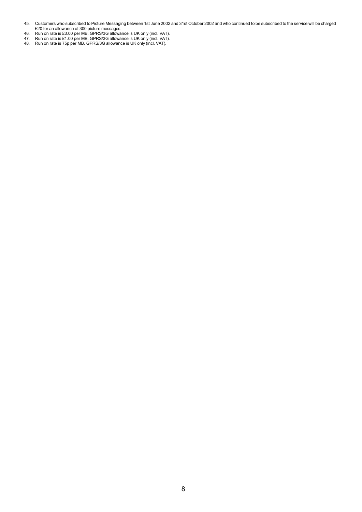- 45. Customers who subscribed to Picture Messaging between 1st June 2002 and 31st October 2002 and who continued to be subscribed to the service will be charged £20 for an allowance of 300 picture messages.
- 46. Run on rate is £3.00 per MB. GPRS/3G allowance is UK only (incl. VAT).
- 47. Run on rate is £1.00 per MB. GPRS/3G allowance is UK only (incl. VAT).
- 48. Run on rate is 75p per MB. GPRS/3G allowance is UK only (incl. VAT).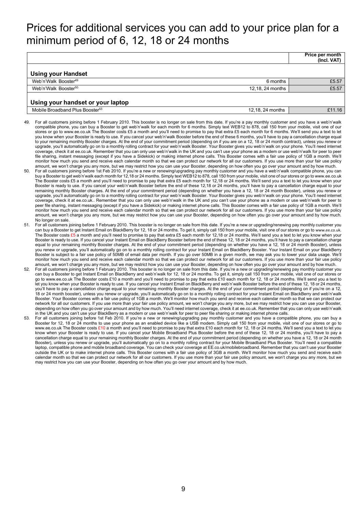# Prices for additional services you can add to your price plan for a minimum period of 6, 12, 18 or 24 months

|                                             |                  | Price per month<br>(Incl. VAT) |
|---------------------------------------------|------------------|--------------------------------|
| <b>Using your Handset</b>                   |                  |                                |
| Web'n'Walk Booster <sup>49</sup>            | 6 months         | £5.57                          |
| Web'n'Walk Booster <sup>50</sup>            | 12.18, 24 months | £5.57                          |
| Using your handset or your laptop           |                  |                                |
| Mobile Broadband Plus Booster <sup>53</sup> | 12,18, 24 months | £11.16                         |

- 49. For all customers joining before 1 February 2010. This booster is no longer on sale from this date. If you're a pay monthly customer and you have a web'n'walk compatible phone, you can buy a Booster to get web'n'walk for each month for 6 months. Simply text WEB12 to 878, call 150 from your mobile, visit one of our stores or go t[o www.ee.co.uk T](http://www.ee.co.uk/)he Booster costs £5 a month and you'll need to promise to pay that extra £5 each month for 6 months. We'll send you a text to let you know when your Booster is ready to use. If you cancel your web'n'walk Booster before the end of these 6 months, you'll have to pay a cancellation charge equal to your remaining monthly Booster charges. At the end of your commitment period (depending on if you are on a 12, 18 or 24 month contract), unless you renew or upgrade, you'll automatically go on to a monthly rolling contract for your web'n'walk Booster. Your Booster gives you web'n'walk on your phone. You'll need internet coverage, check it at ee.co.uk. Remember that you can only use web'n'walk in the UK and you can't use your phone as a modem or use web'n'walk for peer to peer file sharing, instant messaging (except if you have a Sidekick) or making internet phone calls. This Booster comes with a fair use policy of 1GB a month. We'll monitor how much you send and receive each calendar month so that we can protect our network for all our customers. If you use more than your fair use policy amount, we won't charge you any more, but we may restrict how you can use your Booster, depending on how often you go over your amount and by how much.
- 50. For all customers joining before 1st Feb 2010. If you're a new or renewing/upgrading pay monthly customer and you have a web'n'walk compatible phone, you can buy a Booster to get web'n'walk each month for 12,18 or 24 months. Simply text WEB12 to 878, call 150 from your mobile, visit one of our stores or go to [www.ee.co.uk](http://www.ee.co.uk/) The Booster costs £5 a month and you'll need to promise to pay that extra £5 each month for 12,18 or 24 months. We'll send you a text to let you know when your Booster is ready to use. If you cancel your web'n'walk Booster before the end of these 12,18 or 24 months, you'll have to pay a cancellation charge equal to your remaining monthly Booster charges. At the end of your commitment period (depending on whether you have a 12, 18 or 24 month Booster), unless you renew or upgrade, you'll automatically go on to a monthly rolling contract for your web'n'walk Booster. Your Booster gives you web'n'walk on your phone. You'll need internet coverage, check it at ee.co.uk.. Remember that you can only use web'n'walk in the UK and you can't use your phone as a modem or use web'n'walk for peer to peer file sharing, instant messaging (except if you have a Sidekick) or making internet phone calls. This Booster comes with a fair use policy of 1GB a month. We'll monitor how much you send and receive each calendar month so that we can protect our network for all our customers. If you use more than your fair use policy amount, we won't charge you any more, but we may restrict how you can use your Booster, depending on how often you go over your amount and by how much. No longer on sale.
- 51. For all customers joining before 1 February 2010. This booster is no longer on sale from this date. If you're a new or upgrading/renewing pay monthly customer you can buy a Booster to get Instant Email on BlackBerry for 12, 18 or 24 months. To get it, simply call 150 from your mobile, visit one of our stores or go to [www.ee.co.uk](http://www.t-mobile.co.uk/). The Booster costs £5 a month and you'll need to promise to pay that extra £5 each month for 12,18 or 24 months. We'll send you a text to let you know when your Booster is ready to use. If you cancel your Instant Email on BlackBerry Booster before the end of these 12, 18 or 24 months, you'll have to pay a cancellation charge equal to your remaining monthly Booster charges. At the end of your commitment period (depending on whether you have a 12, 18 or 24 month Booster), unless you renew or upgrade, you'll automatically go on to a monthly rolling contract for your Instant Email on BlackBerry Booster. Your Instant Email on your BlackBerry Booster is subject to a fair use policy of 50MB of email data per month. If you go over 50MB in a given month, we may ask you to lower your data usage. We'll monitor how much you send and receive each calendar month so that we can protect our network for all our customers. If you use more than your fair use policy amount, we won't charge you any more, but we may restrict how you can use your Booster, depending on how often you go over your amount and by how much.
- 52. For all customers joining before 1 February 2010. This booster is no longer on sale from this date. If you're a new or upgrading/renewing pay monthly customer you can buy a Booster to get Instant Email on BlackBerry and web'n'walk for 12, 18 or 24 months. To get it, simply call 150 from your mobile, visit one of our stores or go t[o www.ee.co.uk T](http://www.ee.co.uk/)he Booster costs £10 a month and you'll need to promise to pay that extra £10 each month for 12, 18 or 24 months. We'll send you a text to let you know when your Booster is ready to use. If you cancel your Instant Email on BlackBerry and web'n'walk Booster before the end of these 12, 18 or 24 months, you'll have to pay a cancellation charge equal to your remaining monthly Booster charges. At the end of your commitment period (depending on if you're on a 12, 18 or 24 month booster), unless you renew or upgrade, you'll automatically go on to a monthly rolling contract for your Instant Email on BlackBerry and web'n'walk Booster. Your Booster comes with a fair use policy of 1GB a month. We'll monitor how much you send and receive each calendar month so that we can protect our network for all our customers. If you use more than your fair use policy amount, we won't charge you any more, but we may restrict how you can use your Booster, depending on how often you go over your amount and by how much. You'll need internet coverage, check it at ee.co.uk. Remember that you can only use web'n'walk in the UK and you can't use your BlackBerry as a modem or use web'n'walk for peer to peer file sharing or making internet phone calls.
- 53. For all customers joining before 1st Feb 2010. If you're a new or renewing/upgrading pay monthly customer and you have a compatible phone, you can buy a Booster for 12, 18 or 24 months to use your phone as an enabled device like a USB modem. Simply call 150 from your mobile, visit one of our stores or go to [www.ee.co.uk T](http://www.ee.co.uk/)he Booster costs £10 a month and you'll need to promise to pay that extra £10 each month for 12, 18 or 24 months. We'll send you a text to let you know when your Booster is ready to use. If you cancel your Mobile Broadband Plus Booster before the end of these 12, 18 or 24 months, you'll have to pay a cancellation charge equal to your remaining monthly Booster charges. At the end of your commitment period (depending on whether you have a 12, 18 or 24 month Booster), unless you renew or upgrade, you'll automatically go on to a monthly rolling contract for your Mobile Broadband Plus Booster. You'll need a compatible laptop, compatible phone and mobile broadband coverage. You can check your coverage at EE.co.uk/mobilebroadband. Remember that you can't use your Booster outside the UK or to make internet phone calls. This Booster comes with a fair use policy of 3GB a month. We'll monitor how much you send and receive each calendar month so that we can protect our network for all our customers. If you use more than your fair use policy amount, we won't charge you any more, but we may restrict how you can use your Booster, depending on how often you go over your amount and by how much.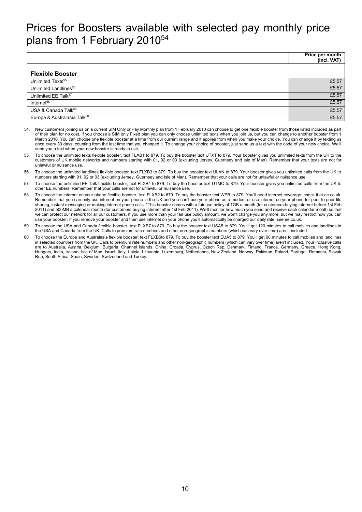# Prices for Boosters available with selected pay monthly price plans from 1 February 2010<sup>54</sup>

|                                         | Price per month<br>(Incl. VAT) |
|-----------------------------------------|--------------------------------|
| <b>Flexible Booster</b>                 |                                |
| Unlimited Texts <sup>55</sup>           | £5.57                          |
| Unlimited Landlines <sup>56</sup>       | £5.57                          |
| Unlimited EE Talk <sup>57</sup>         | £5.57                          |
| Internet <sup>58</sup>                  | £5.57                          |
| USA & Canada Talk <sup>59</sup>         | £5.57                          |
| Europe & Australasia Talk <sup>60</sup> | £5.57                          |

- 54. New customers joining us on a current SIM Only or Pay Monthly plan from 1 February 2010 can choose to get one flexible booster from those listed included as part of their plan for no cost. If you choose a SIM only Fixed plan you can only choose unlimited texts when you join us, but you can change to another booster from 1 March 2010. You can choose one flexible booster at a time from our current range and it applies from when you make your choice. You can change it by texting us once every 30 days, counting from the last time that you changed it. To change your choice of booster, just send us a text with the code of your new choice. We'll send you a text when your new booster is ready to use.
- 55. To choose the unlimited texts flexible booster, text FLXB1 to 879. To buy the booster text UTXT to 879. Your booster gives you unlimited texts from the UK to the customers of UK mobile networks and numbers starting with 01, 02 or 03 (excluding Jersey, Guernsey and Isle of Man). Remember that your texts are not for unlawful or nuisance use.
- 56. To choose the unlimited landlines flexible booster, text FLXB3 to 879. To buy the booster text ULAN to 879. Your booster gives you unlimited calls from the UK to numbers starting with 01, 02 or 03 (excluding Jersey, Guernsey and Isle of Man). Remember that your calls are not for unlawful or nuisance use.
- 57. To choose the unlimited EE Talk flexible booster, text FLXB4 to 879. To buy the booster text UTMO to 879. Your booster gives you unlimited calls from the UK to other EE numbers. Remember that your calls are not for unlawful or nuisance use.
- 58. To choose the internet on your phone flexible booster, text FLXB2 to 879. To buy the booster text WEB to 879. You'll need internet coverage, check it at ee.co.uk. Remember that you can only use internet on your phone in the UK and you can't use your phone as a modem or use internet on your phone for peer to peer file sharing, instant messaging or making internet phone calls. \*This booster comes with a fair use policy of 1GB a month (for customers buying internet before 1st Feb 2011) and 500MB a calendar month (for customers buying internet after 1st Feb 2011). We'll monitor how much you send and receive each calendar month so that we can protect our network for all our customers. If you use more than your fair use policy amount, we won't charge you any more, but we may restrict how you can use your booster. If you remove your booster and then use internet on your phone you'll automatically be charged our daily rate, see ee.co.uk.
- 59. To choose the USA and Canada flexible booster, text FLXB7 to 879. To buy the booster text USA5 to 879. You'll get 120 minutes to call mobiles and landlines in the USA and Canada from the UK. Calls to premium rate numbers and other non-geographic numbers (which can vary over time) aren't included.
- 60. To choose the Europe and Australasia flexible booster, text FLXB6to 879. To buy the booster text EUA5 to 879. You'll get 60 minutes to call mobiles and landlines in selected countries from the UK. Calls to premium rate numbers and other non-geographic numbers (which can vary over time) aren't included. Your inclusive calls are to Australia, Austria, Belgium, Bulgaria, Channel Islands, China, Croatia, Cyprus, Czech Rep, Denmark, Finland, France, Germany, Greece, Hong Kong, Hungary, India, Ireland, Isle of Man, Israel, Italy, Latvia, Lithuania, Luxemburg, Netherlands, New Zealand, Norway, Pakistan, Poland, Portugal, Romania, Slovak Rep, South Africa, Spain, Sweden, Switzerland and Turkey.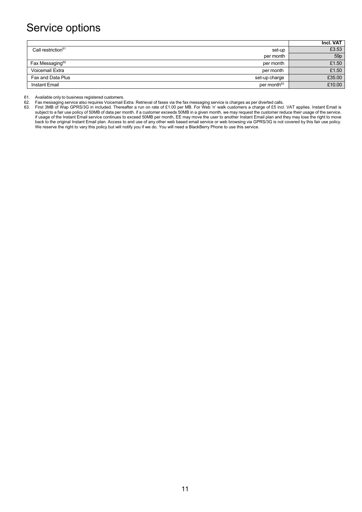# Service options

|                                          | Incl. VAT       |
|------------------------------------------|-----------------|
| Call restriction <sup>61</sup><br>set-up | £3.53           |
| per month                                | 59 <sub>p</sub> |
| Fax Messaging <sup>62</sup><br>per month | £1.50           |
| Voicemail Extra<br>per month             | £1.50           |
| Fax and Data Plus<br>set-up charge       | £35.00          |
| per month <sup>63</sup><br>Instant Email | £10.00          |

61. Available only to business registered customers.<br>62. Fax messaging service also requires Voicemail b

62. Fax messaging service also requires Voicemail Extra. Retrieval of faxes via the fax messaging service is charges as per diverted calls.<br>63. First 3MB of Wap GPRS/3G in included. Thereafter a run on rate of £1.00 per MB

63. First 3MB of Wap GPRS/3G in included. Thereafter a run on rate of £1.00 per MB. For Web 'n' walk customers a charge of £5 incl. VAT applies. Instant Email is subject to a fair use policy of 50MB of data per month. if a customer exceeds 50MB in a given month, we may request the customer reduce their usage of the service. if usage of the Instant Email service continues to exceed 50MB per month, EE may move the user to another Instant Email plan and they may lose the right to move back to the original Instant Email plan. Access to and use of any other web based email service or web browsing via GPRS/3G is not covered by this fair use policy. We reserve the right to vary this policy but will notify you if we do. You will need a BlackBerry Phone to use this service.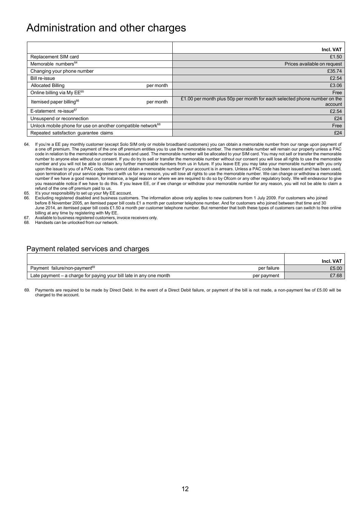# Administration and other charges

|                                                                         | Incl. VAT                                                                           |
|-------------------------------------------------------------------------|-------------------------------------------------------------------------------------|
| Replacement SIM card                                                    | £1.50                                                                               |
| Memorable numbers <sup>64</sup>                                         | Prices available on request                                                         |
| Changing your phone number                                              | £35.74                                                                              |
| Bill re-issue                                                           | £2.54                                                                               |
| <b>Allocated Billing</b><br>per month                                   | £3.06                                                                               |
| Online billing via My EE <sup>65</sup>                                  | Free                                                                                |
| Itemised paper billing <sup>66</sup><br>per month                       | £1.00 per month plus 50p per month for each selected phone number on the<br>account |
| E-statement re-issue <sup>67</sup>                                      | £2.54                                                                               |
| Unsuspend or reconnection                                               | £24                                                                                 |
| Unlock mobile phone for use on another compatible network <sup>68</sup> | Free                                                                                |
| Repeated satisfaction quarantee claims                                  | £24                                                                                 |

- 64. If you're a EE pay monthly customer (except Solo SIM only or mobile broadband customers) you can obtain a memorable number from our range upon payment of a one off premium. The payment of the one off premium entitles you to use the memorable number. The memorable number will remain our property unless a PAC code in relation to the memorable number is issued and used. The memorable number will be allocated to your SIM card. You may not sell or transfer the memorable number to anyone else without our consent. If you do try to sell or transfer the memorable number without our consent you will lose all rights to use the memorable number and you will not be able to obtain any further memorable numbers from us in future. If you leave EE you may take your memorable number with you only upon the issue to you of a PAC code. You cannot obtain a memorable number if your account is in arrears. Unless a PAC code has been issued and has been used, upon termination of your service agreement with us for any reason, you will lose all rights to use the memorable number. We can change or withdraw a memorable number if we have a good reason, for instance, a legal reason or where we are required to do so by Ofcom or any other regulatory body. We will endeavour to give you reasonable notice if we have to do this. If you leave EE, or if we change or withdraw your memorable number for any reason, you will not be able to claim a
- refund of the one off premium paid to us. 65. It's your responsibility to set up your My EE account.
- 66. Excluding registered disabled and business customers. The information above only applies to new customers from 1 July 2009. For customers who joined before 8 November 2005, an itemised paper bill costs £1 a month per customer telephone number. And for customers who joined between that time and 30 June 2014, an itemised paper bill costs £1.50 a month per customer telephone number. But remember that both these types of customers can switch to free online billing at any time by registering with My EE.
- 67. Available to business registered customers, invoice receivers only.
- 68. Handsets can be unlocked from our network.

#### Payment related services and charges

|                                                                               |             | Incl. VAT |
|-------------------------------------------------------------------------------|-------------|-----------|
| Payment failure/non-payment <sup>69</sup>                                     | per failure | £5.00     |
| $^{\circ}$ Late payment – a charge for paying your bill late in any one month | per payment | £7.68     |

69. Payments are required to be made by Direct Debit. In the event of a Direct Debit failure, or payment of the bill is not made, a non-payment fee of £5.00 will be charged to the account.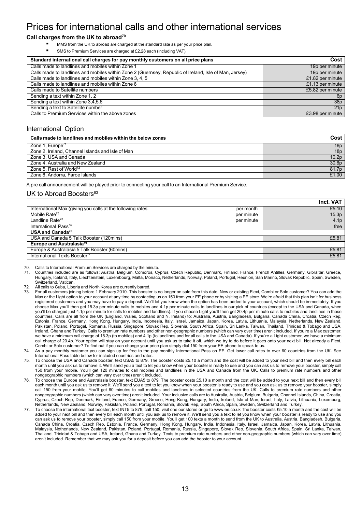### Prices for international calls and other international services

#### **Call charges from the UK to abroad70**

- MMS from the UK to abroad are charged at the standard rate as per your price plan.
- SMS to Premium Services are charged at £2.28 each (including VAT).

| Standard international call charges for pay monthly customers on all price plans                       | Cost             |
|--------------------------------------------------------------------------------------------------------|------------------|
| Calls made to landlines and mobiles within Zone 1                                                      | 19p per minute   |
| Calls made to landlines and mobiles within Zone 2 (Guernsey, Republic of Ireland, Isle of Man, Jersey) | 19p per minute   |
| Calls made to landlines and mobiles within Zone 3, 4, 5                                                | £1.82 per minute |
| Calls made to landlines and mobiles within Zone 6                                                      | £1.13 per minute |
| Calls made to Satellite numbers                                                                        | £5.82 per minute |
| Sending a text within Zone 1, 2                                                                        | 6 <sub>D</sub>   |
| Sending a text within Zone 3,4,5,6                                                                     | 38p              |
| Sending a text to Satellite number                                                                     | 21p              |
| Calls to Premium Services within the above zones                                                       | £3.98 per minute |

#### International Option

| Calls made to landlines and mobiles within the below zones | Cost              |
|------------------------------------------------------------|-------------------|
| Zone 1, Europe <sup>71</sup>                               | 18p               |
| Zone 2, Ireland, Channel Islands and Isle of Man           | 18p               |
| Zone 3, USA and Canada                                     | 10.2 <sub>p</sub> |
| Zone 4, Australia and New Zealand                          | 30.6p             |
| Zone 5. Rest of World <sup>72</sup>                        | 81.7p             |
| Zone 6, Andorra, Faroe Islands                             | £1.00             |

A pre call announcement will be played prior to connecting your call to an International Premium Service.

#### UK to Abroad Boosters<sup>63</sup>

|                                                                          | Incl. VAT        |
|--------------------------------------------------------------------------|------------------|
| International Max (giving you calls at the following rates:<br>per month | £5.10            |
| Mobile Rate <sup>73</sup><br>per minute                                  | 15.3p            |
| Landline Rate <sup>73</sup><br>per minute                                | 4.1 <sub>p</sub> |
| International Pass <sup>74</sup>                                         | free             |
| <b>USA and Canada<sup>75</sup></b>                                       |                  |
| USA and Canada 5 Talk Booster (120mins)                                  | £5.81            |
| <b>Europe and Australasia<sup>76</sup></b>                               |                  |
| Europe & Australasia 5 Talk Booster (60mins)                             | £5.81            |
| International Texts Booster <sup>77</sup>                                | £5.81            |

70. Calls to International Premium Services are charged by the minute.

- 71. Countries included are as follows: Austria, Belgium, Comoros, Cyprus, Czech Republic, Denmark, Finland, France, French Antilles, Germany, Gibraltar, Greece, Hungary, Iceland, Italy, Liechtenstein, Luxembourg, Malta, Monaco, Netherlands, Norway, Poland, Portugal, Reunion, San Marino, Slovak Republic, Spain, Sweden, Switzerland, Vatican.
- 72. All calls to Cuba, Liberia and North Korea are currently barred.
- For all customers joining before 1 February 2010. This booster is no longer on sale from this date. New or existing Flext, Combi or Solo customer? You can add the Max or the Light option to your account at any time by contacting us on 150 from your EE phone or by visiting a EE store. We're afraid that this plan isn't for business registered customers and you may have to pay a deposit. We'll let you know when the option has been added to your account, which should be immediately. If you choose Max you'll then get 15.3p per minute calls to mobiles and 4.1p per minute calls to landlines in our pick of countries (except to the USA and Canada, when you'll be charged just 4.1p per minute for calls to mobiles and landlines). If you choose Light you'll then get 20.4p per minute calls to mobiles and landlines in those countries. Calls are all from the UK (England, Wales, Scotland and N. Ireland) to: Australia, Austria, Bangladesh, Bulgaria, Canada China, Croatia, Czech Rep, Estonia, France, Germany, Hong Kong, Hungary, India, Indonesia, Italy, Israel, Jamaica, Japan, Korea, Latvia, Lithuania, Malaysia, Netherlands, New Zealand, Pakistan, Poland, Portugal, Romania, Russia, Singapore, Slovak Rep, Slovenia, South Africa, Spain, Sri Lanka, Taiwan, Thailand, Trinidad & Tobago and USA, Ireland, Ghana and Turkey. Calls to premium rate numbers and other non-geographic numbers (which can vary over time) aren't included. If you're a Max customer, we have a minimum call charge of 15.3p (to mobiles) and 4.1p (to landlines and for all calls to the USA and Canada). If you're a Light customer, we have a minimum call charge of 20.4p. Your option will stay on your account until you ask us to take it off, which we try to do before it goes onto your next bill. Not already a Flext, Combi or Solo customer? To find out if you can change your price plan simply dial 150 from your EE phone to speak to us.
- 74. As a pay monthly customer you can sign up for free to the pay monthly International Pass on EE. Get lower call rates to over 60 countries from the UK. See International Pass table below for included countries and rates.
- 75. To choose the USA and Canada booster, text USA5 to 879. The booster costs £5.10 a month and the cost will be added to your next bill and then every bill each month until you ask us to remove it. We'll send you a text to let you know when your booster is ready to use and you can ask us to remove your booster, simply call 150 from your mobile. You'll get 120 minutes to call mobiles and landlines in the USA and Canada from the UK. Calls to premium rate numbers and other nongeographic numbers (which can vary over time) aren't included.
- 76. To choose the Europe and Australasia booster, text EUA5 to 879. The booster costs £5.10 a month and the cost will be added to your next bill and then every bill each month until you ask us to remove it. We'll send you a text to let you know when your booster is ready to use and you can ask us to remove your booster, simply call 150 from your mobile. You'll get 60 minutes to call mobiles and landlines in selected countries from the UK. Calls to premium rate numbers and other nongeographic numbers (which can vary over time) aren't included. Your inclusive calls are to Australia, Austria, Belgium, Bulgaria, Channel Islands, China, Croatia, Cyprus, Czech Rep, Denmark, Finland, France, Germany, Greece, Hong Kong, Hungary, India, Ireland, Isle of Man, Israel, Italy, Latvia, Lithuania, Luxemburg, Netherlands, New Zealand, Norway, Pakistan, Poland, Portugal, Romania, Slovak Rep, South Africa, Spain, Sweden, Switzerland and Turkey.
- 77. To choose the international text booster, text INT5 to 879, call 150, visit one our stores or go t[o www.ee.co.uk T](http://www.ee.co.uk/)he booster costs £5.10 a month and the cost will be added to your next bill and then every bill each month until you ask us to remove it. We'll send you a text to let you know when your booster is ready to use and you can ask us to remove your booster, simply call 150 from your mobile. You'll get 100 texts a month to send from the UK to Australia, Austria, Bangladesh, Bulgaria, Canada China, Croatia, Czech Rep, Estonia, France, Germany, Hong Kong, Hungary, India, Indonesia, Italy, Israel, Jamaica, Japan, Korea, Latvia, Lithuania, Malaysia, Netherlands, New Zealand, Pakistan, Poland, Portugal, Romania, Russia, Singapore, Slovak Rep, Slovenia, South Africa, Spain, Sri Lanka, Taiwan, Thailand, Trinidad & Tobago and USA, Ireland, Ghana and Turkey. Texts to premium rate numbers and other non-geographic numbers (which can vary over time) aren't included. Remember that we may ask you for a deposit before you can add the booster to your account.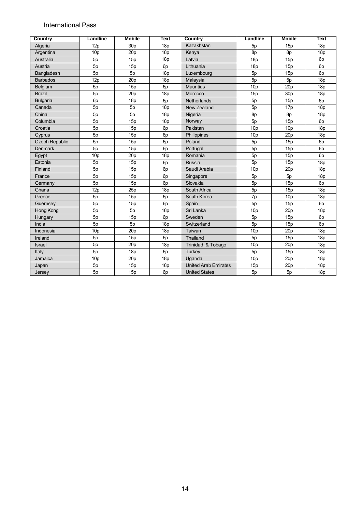#### International Pass

| Country               | Landline        | <b>Mobile</b>   | Text           | Country                     | <b>Landline</b> | <b>Mobile</b>   | <b>Text</b>    |
|-----------------------|-----------------|-----------------|----------------|-----------------------------|-----------------|-----------------|----------------|
| Algeria               | 12p             | 30p             | 18p            | Kazakhstan                  | 5p              | 15p             | 18p            |
| Argentina             | 10 <sub>p</sub> | 20p             | 18p            | Kenya                       | 8p              | 8p              | 18p            |
| Australia             | 5p              | 15p             | 18p            | Latvia                      | 18p             | 15p             | 6 <sub>p</sub> |
| Austria               | 5p              | 15p             | 6 <sub>p</sub> | Lithuania                   | 18p             | 15p             | 6 <sub>p</sub> |
| Bangladesh            | 5p              | 5p              | 18p            | Luxembourg                  | 5p              | 15p             | 6p             |
| <b>Barbados</b>       | 12p             | 20p             | 18p            | Malaysia                    | 5p              | 5p              | 18p            |
| Belgium               | 5p              | 15p             | 6p             | <b>Mauritius</b>            | 10 <sub>p</sub> | 20p             | 18p            |
| <b>Brazil</b>         | 5p              | 20 <sub>p</sub> | 18p            | Morocco                     | 15p             | 30 <sub>p</sub> | 18p            |
| <b>Bulgaria</b>       | 6p              | 18p             | 6p             | Netherlands                 | 5p              | 15p             | 6 <sub>p</sub> |
| Canada                | 5p              | 5p              | 18p            | New Zealand                 | 5p              | 17p             | 18p            |
| China                 | 5p              | 5p              | 18p            | Nigeria                     | 8p              | 8p              | 18p            |
| Columbia              | 5p              | 15p             | 18p            | Norway                      | 5p              | 15p             | 6 <sub>p</sub> |
| Croatia               | 5p              | 15p             | 6 <sub>p</sub> | Pakistan                    | 10 <sub>p</sub> | 10 <sub>p</sub> | 18p            |
| Cyprus                | 5p              | 15p             | 6p             | Philippines                 | 10 <sub>p</sub> | 20p             | 18p            |
| <b>Czech Republic</b> | 5p              | 15p             | 6p             | Poland                      | 5p              | 15p             | 6p             |
| <b>Denmark</b>        | 5p              | 15p             | 6p             | Portugal                    | 5p              | 15p             | 6 <sub>p</sub> |
| Egypt                 | 10 <sub>p</sub> | 20 <sub>p</sub> | 18p            | Romania                     | 5p              | 15p             | 6p             |
| Estonia               | 5p              | 15p             | 6p             | Russia                      | 5p              | 15p             | 18p            |
| Finland               | 5p              | 15p             | 6p             | Saudi Arabia                | 10 <sub>p</sub> | 20p             | 18p            |
| France                | 5p              | 15p             | 6p             | Singapore                   | 5p              | 5p              | 18p            |
| Germany               | 5p              | 15p             | 6 <sub>p</sub> | Slovakia                    | 5p              | 15p             | 6p             |
| Ghana                 | 12p             | 25p             | 18p            | South Africa                | 5p              | 15p             | 18p            |
| Greece                | 5p              | 15p             | 6 <sub>p</sub> | South Korea                 | 7p              | 10 <sub>p</sub> | 18p            |
| Guernsey              | 5p              | 15p             | 6 <sub>p</sub> | Spain                       | 5p              | 15p             | 6p             |
| Hong Kong             | 5p              | 5p              | 18p            | Sri Lanka                   | 10 <sub>p</sub> | 20p             | 18p            |
| Hungary               | 5p              | 15p             | 6 <sub>p</sub> | Sweden                      | 5p              | 15p             | 6p             |
| India                 | 5p              | 5p              | 18p            | Switzerland                 | 5p              | 15p             | 6 <sub>p</sub> |
| Indonesia             | 10 <sub>p</sub> | 20p             | 18p            | Taiwan                      | 10 <sub>p</sub> | 20p             | 18p            |
| Ireland               | 5p              | 15p             | 6 <sub>p</sub> | Thailand                    | 5p              | 15p             | 18p            |
| Israel                | 5p              | 20p             | 18p            | Trinidad & Tobago           | 10 <sub>p</sub> | 20p             | 18p            |
| Italy                 | 5p              | 18p             | 6 <sub>p</sub> | <b>Turkey</b>               | 5p              | 15p             | 18p            |
| Jamaica               | 10 <sub>p</sub> | 20 <sub>p</sub> | 18p            | Uganda                      | 10 <sub>p</sub> | 20p             | 18p            |
| Japan                 | 5p              | 15p             | 18p            | <b>United Arab Emirates</b> | 15p             | 20p             | 18p            |
| Jersey                | 5p              | 15p             | 6p             | <b>United States</b>        | 5p              | 5p              | 18p            |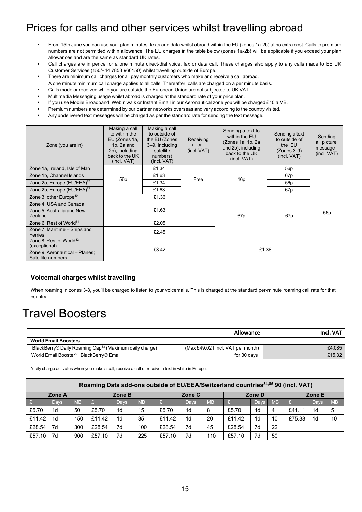# Prices for calls and other services whilst travelling abroad

- From 15th June you can use your plan minutes, texts and data whilst abroad within the EU (zones 1a-2b) at no extra cost. Calls to premium numbers are not permitted within allowance. The EU charges in the table below (zones 1a-2b) will be applicable if you exceed your plan allowances and are the same as standard UK rates.
- Call charges are in pence for a one minute direct-dial voice, fax or data call. These charges also apply to any calls made to EE UK Customer Services (150/+44 7853 966150) whilst travelling outside of Europe.
- There are minimum call charges for all pay monthly customers who make and receive a call abroad.
- A one minute minimum call charge applies to all calls. Thereafter, calls are charged on a per minute basis.
- Calls made or received while you are outside the European Union are not subjected to UK VAT.
- Multimedia Messaging usage whilst abroad is charged at the standard rate of your price plan.
- If you use Mobile Broadband, Web'n'walk or Instant Email in our Aeronautical zone you will be charged £10 a MB.
- Premium numbers are determined by our partner networks overseas and vary according to the country visited.
- Any undelivered text messages will be charged as per the standard rate for sending the text message.

| Zone (you are in)                                                                                           | Making a call<br>to within the<br>EU (Zones 1a,<br>$1b$ , $2a$ and<br>2b), including<br>back to the UK<br>(incl. VAT) | Making a call<br>to outside of<br>the EU (Zones<br>3-9, Including<br>satellite<br>numbers)<br>(incl. VAT) | Receiving<br>a call<br>(incl. VAT) | Sending a text to<br>within the EU<br>(Zones 1a, 1b, 2a)<br>and 2b), including<br>back to the UK<br>(incl. VAT) | Sending a text<br>to outside of<br>the EU<br>$(Zones 3-9)$<br>(incl. VAT) | Sending<br>a picture<br>message<br>(incl. VAT) |  |
|-------------------------------------------------------------------------------------------------------------|-----------------------------------------------------------------------------------------------------------------------|-----------------------------------------------------------------------------------------------------------|------------------------------------|-----------------------------------------------------------------------------------------------------------------|---------------------------------------------------------------------------|------------------------------------------------|--|
| Zone 1a, Ireland, Isle of Man                                                                               |                                                                                                                       | £1.34                                                                                                     |                                    |                                                                                                                 | 56 <sub>p</sub>                                                           |                                                |  |
| Zone 1b, Channel Islands                                                                                    | 56 <sub>p</sub>                                                                                                       | £1.63                                                                                                     | Free                               | 16p                                                                                                             | 67 <sub>p</sub>                                                           |                                                |  |
| Zone 2a, Europe (EU/EEA) <sup>78</sup>                                                                      |                                                                                                                       | £1.34                                                                                                     |                                    |                                                                                                                 | 56 <sub>p</sub>                                                           |                                                |  |
| Zone 2b, Europe (EU/EEA) <sup>79</sup>                                                                      |                                                                                                                       | £1.63                                                                                                     |                                    |                                                                                                                 | 67 <sub>p</sub>                                                           |                                                |  |
| Zone 3, other Europe <sup>80</sup>                                                                          |                                                                                                                       | £1.36                                                                                                     |                                    |                                                                                                                 |                                                                           |                                                |  |
| Zone 4, USA and Canada                                                                                      |                                                                                                                       |                                                                                                           |                                    |                                                                                                                 |                                                                           |                                                |  |
| Zone 5, Australia and New<br>Zealand                                                                        |                                                                                                                       | £1.63                                                                                                     |                                    | 67 <sub>p</sub>                                                                                                 | 67 <sub>p</sub>                                                           | 56 <sub>p</sub>                                |  |
| Zone 6, Rest of World <sup>81</sup>                                                                         |                                                                                                                       | £2.05                                                                                                     |                                    |                                                                                                                 |                                                                           |                                                |  |
| Zone 7, Maritime - Ships and<br><b>Ferries</b>                                                              |                                                                                                                       | £2.45                                                                                                     |                                    |                                                                                                                 |                                                                           |                                                |  |
| Zone 8, Rest of World <sup>82</sup><br>(exceptional)<br>Zone 9, Aeronautical - Planes;<br>Satellite numbers |                                                                                                                       | £3.42                                                                                                     |                                    | £1.36                                                                                                           |                                                                           |                                                |  |

#### **Voicemail charges whilst travelling**

When roaming in zones 3-8, you'll be charged to listen to your voicemails. This is charged at the standard per-minute roaming call rate for that country.

# Travel Boosters

|                                                                    | Allowance                         | Incl. VAT |
|--------------------------------------------------------------------|-----------------------------------|-----------|
| <b>World Email Boosters</b>                                        |                                   |           |
| BlackBerry® Daily Roaming Cap <sup>83</sup> (Maximum daily charge) | (Max £49.021 incl. VAT per month) | £4.085    |
| World Email Booster <sup>83</sup> BlackBerry® Email                | for 30 days                       | £15.32    |

\*daily charge activates when you make a call, receive a call or receive a text in while in Europe.

| Roaming Data add-ons outside of EU/EEA/Switzerland countries <sup>84,85</sup> 90 (incl. VAT) |                |           |        |                |           |        |                |           |        |                |           |        |                |           |
|----------------------------------------------------------------------------------------------|----------------|-----------|--------|----------------|-----------|--------|----------------|-----------|--------|----------------|-----------|--------|----------------|-----------|
|                                                                                              | Zone A         |           | Zone B |                | Zone C    |        | Zone D         |           | Zone E |                |           |        |                |           |
|                                                                                              | Days           | <b>MB</b> |        | Days           | <b>MB</b> |        | Days           | <b>MB</b> |        | Days           | <b>MB</b> |        | Davs           | <b>MB</b> |
| £5.70                                                                                        | 1 <sub>d</sub> | 50        | £5.70  | 1 <sub>d</sub> | 15        | £5.70  | 1d             | 8         | £5.70  | 1 <sub>d</sub> | 4         | £41.11 | 1 <sub>d</sub> | 5         |
| £11.42                                                                                       | 1d             | 150       | £11.42 | 1 <sub>d</sub> | 35        | £11.42 | 1 <sub>d</sub> | 20        | £11.42 | 1 <sub>d</sub> | 10        | £75.38 | 1 <sub>d</sub> | 10        |
| £28.54                                                                                       | 7d             | 300       | £28.54 | 7d             | 100       | £28.54 | 7d             | 45        | £28.54 | 7d             | 22        |        |                |           |
| £57.10                                                                                       | 7d             | 900       | £57.10 | 7d             | 225       | £57.10 | 7d             | 110       | £57.10 | 7d             | 50        |        |                |           |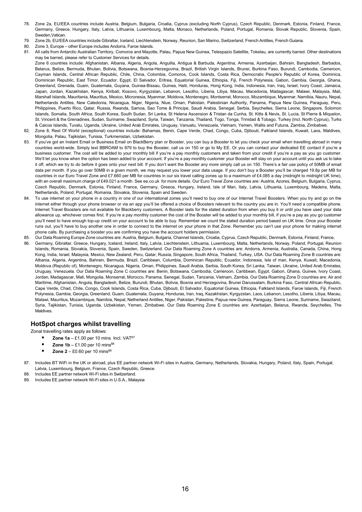- 78. Zone 2a, EU/EEA countries include Austria, Belgium, Bulgaria, Croatia, Cyprus (excluding North Cyprus), Czech Republic, Denmark, Estonia, Finland, France, Germany, Greece, Hungary, Italy, Latvia, Lithuania, Luxembourg, Malta, Monaco, Netherlands, Poland, Portugal, Romania, Slovak Republic, Slovenia, Spain, Sweden Vatican.
- 79. Zone 2b, EU/EEA countries include Gibraltar, Iceland, Liechtenstein, Norway, Reunion, San Marino, Switzerland, French Antilles, French Guiana.
- 80. Zone 3, Europe other Europe includes Andorra, Faroe Islands.
- 81. All calls from Antarctic Australian Territory, Comoros and Mayotte, Palau, Papua New Guinea, Telespazio Satellite, Tokelau, are currently barred. Other destinations may be barred, please refer to Customer Services for details.

Zone 6 countries include: Afghanistan, Albania, Algeria, Angola, Anguilla, Antigua & Barbuda, Argentina, Armenia, Azerbaijan, Bahrain, Bangladesh, Barbados, Belarus, Belize, Bermuda, Bhutan, Bolivia, Botswana, Bosnia-Herzegovina, Brazil, British Virgin Islands, Brunei, Burkina Faso, Burundi, Cambodia, Cameroon, Cayman Islands, Central African Republic, Chile, China, Colombia, Comoros, Cook Islands, Costa Rica, Democratic People's Republic of Korea, Dominica, Dominican Republic, East Timor, Ecuador, Egypt, El Salvador, Eritrea, Equatorial Guinea, Ethiopia, Fiji, French Polynesia, Gabon, Gambia, Georgia, Ghana, Greenland, Grenada, Guam, Guatemala, Guyana, Guinea-Bissau, Guinea, Haiti, Honduras, Hong Kong, India, Indonesia, Iran, Iraq, Israel, Ivory Coast, Jamaica, Japan, Jordan, Kazakhstan, Kenya, Kiribati, Kosovo, Kyrgyzstan, Lebanon, Lesotho, Liberia, Libya, Macau, Macedonia, Madagascar, Malawi, Malaysia, Mali, Marshall Islands, Mauritania, Mauritius, Mexico, Micronesia, Myanmar, Moldova, Montenegro, Montserrat, Morocco, Mozambique, Myanmar, Namibia, Nauru, Nepal, Netherlands Antilles, New Caledonia, Nicaragua, Niger, Nigeria, Niue, Oman, Pakistan, Palestinian Authority, Panama, Papua New Guinea, Paraguay, Peru, Philippines, Puerto Rico, Qatar, Russia, Rwanda, Samoa, Sao Tome & Principe, Saudi Arabia, Senegal, Serbia, Seychelles, Sierra Leone, Singapore, Solomon Islands, Somalia, South Africa, South Korea, South Sudan, Sri Lanka, St Helena Ascension & Tristan da Cunha, St. Kitts & Nevis, St. Lucia, St Pierre & Miquelon, St. Vincent & the Grenadines, Sudan, Suriname, Swaziland, Syria, Taiwan, Tanzania, Thailand, Togo, Tonga, Trinidad & Tobago, Turkey (Incl. North Cyprus), Turks & Caicos Islands, Tuvalu, Uganda, Ukraine, United Arab Emirates, Uruguay, Vanuatu, Venezuela, Vietnam, Yemen, Wallis and Futuna, Zambia, Zimbabwe.

- 82. Zone 8, Rest Of World (exceptional) countries include: Bahamas, Benin, Cape Verde, Chad, Congo, Cuba, Djibouti, Falkland Islands, Kuwait, Laos, Maldives, Mongolia, Palau, Tajikistan, Tunisia, Turkmenistan, Uzbekistan.
- 83. If you've got an Instant Email or Business Email on BlackBerry plan or Booster, you can buy a Booster to let you check your email when travelling abroad in many countries world-wide. Simply text BBROAM to 879 to buy the Booster, call us on 150 or go to My EE. Or you can contact your dedicated EE contact if you're a business customer. The cost will be added to your monthly bill if you're a pay monthly customers and taken from your credit if you're a pay as you go customer. We'll let you know when the option has been added to your account. If you're a pay monthly customer your Booster will stay on your account until you ask us to take it off, which we try to do before it goes onto your next bill. If you don't want the Booster any more simply call us on 150. There's a fair use policy of 50MB of email data per month. If you go over 50MB in a given month, we may request you lower your data usage. If you don't buy a Booster you'll be charged 19.8p per MB for countries in our Euro Travel Zone and £7.660 per MB for countries in our six travel calling zones up to a maximum of £4.085 a day (midnight to midnight UK time), with an overall maximum charge of £49.021 a month. See ee.co.uk for more details. Our Euro Travel Zone countries are: Austria, Azores, Belgium, Bulgaria, Cyprus, Czech Republic, Denmark, Estonia, Finland, France, Germany, Greece, Hungary, Ireland, Isle of Man, Italy, Latvia, Lithuania, Luxembourg, Madeira, Malta, Netherlands, Poland, Portugal, Romania, Slovakia, Slovenia, Spain and Sweden.
- 84. To use internet on your phone in a country in one of our international zones you'll need to buy one of our Internet Travel Boosters. When you try and go on the internet either through your phone browser or via an app you'll be offered a choice of Boosters relevant to the country you are in. You'll need a compatible phone. Internet Travel Boosters are not available for Blackberry customers. A Booster lasts for the stated duration from when you buy it or until you have used your data allowance up, whichever comes first. If you're a pay monthly customer the cost of the Booster will be added to your monthly bill, if you're a pay as you go customer you'll need to have enough top-up credit on your account to be able to buy. Remember we count the stated duration period based on UK time. Once your Booster runs out, you'll have to buy another one in order to connect to the internet on your phone in that Zone. Remember you can't use your phone for making internet phone calls. By purchasing a booster you are confirming you have the account holders permission.
- 85. Our Data Roaming Europe Zone countries are: Austria, Belgium, Bulgaria, Channel Islands, Croatia, Cyprus, Czech Republic, Denmark, Estonia, Finland, France,
- 86. Germany, Gibraltar, Greece, Hungary, Iceland, Ireland, Italy, Latvia, Liechtenstein, Lithuania, Luxembourg, Malta, Netherlands, Norway, Poland, Portugal, Reunion Islands, Romania, Slovakia, Slovenia, Spain, Sweden, Switzerland. Our Data Roaming Zone A countries are: Andorra, Armenia, Australia, Canada, China, Hong Kong, India, Israel, Malaysia, Mexico, New Zealand, Peru, Qatar, Russia, Singapore, South Africa, Thailand, Turkey, USA. Our Data Roaming Zone B countries are: Albania, Algeria, Argentina, Bahrain, Bermuda, Brazil, Caribbean, Columbia, Dominican Republic, Ecuador, Indonesia, Isle of man, Kenya, Kuwait, Macedonia, Moldova (Republic of), Montenegro, Nicaragua, Nigeria, Oman, Philippines, Saudi Arabia, Serbia, South Korea, Sri Lanka, Taiwan, Ukraine, United Arab Emirates, Uruguay, Venezuela. Our Data Roaming Zone C countries are: Benin, Botswana, Cambodia, Cameroon, Caribbean, Egypt, Gabon, Ghana, Guinee, Ivory Coast, Jordan, Madagascar, Mali, Mongolia, Monserrat, Morocco, Panama, Senegal, Sudan, Tanzania, Vietnam, Zambia. Our Data Roaming Zone D countries are: Air and Maritime, Afghanistan, Angola, Bangladesh, Belize, Burundi, Bhutan, Bolivia, Bosnia and Herzegovina, Brunei Darussalam, Burkina Faso, Central African Republic, Cape Verde, Chad, Chile, Congo, Cook Islands, Costa Rica, Cuba, Djibouti, El Salvador, Equatorial Guinea, Ethiopia, Falkland Islands, Faroe Islands, Fiji, French Polynesia, Gambia, Georgia, Greenland, Guam, Guatemala, Guyana, Honduras, Iran, Iraq, Kazakhstan, Kyrgyzstan, Laos, Lebanon, Lesotho, Liberia, Libya, Macau, Malawi, Mauritius, Mozambique, Namibia, Nepal, Netherland Antilles, Niger, Pakistan, Palestine, Papua new Guinea, Paraguay, Sierra Leone, Suriname, Swaziland, Syria, Tajikistan, Tunisia, Uganda, Uzbekistan, Yemen, Zimbabwe. Our Data Roaming Zone E countries are: Azerbaijan, Belarus, Rwanda, Seychelles, The Maldives.

#### **HotSpot charges whilst travelling**

Zonal travelling rates apply as follows:

- **Zone 1a** £1.00 per 10 mins Incl. VAT87
- $\blacksquare$  Zone 1b £1.00 per 10 mins<sup>88</sup>
- **Zone 2** £0.60 per 10 mins<sup>89</sup>
- 87. Includes BT WiFi in the UK or abroad, plus EE partner network Wi-Fi sites in Austria, Germany, Netherlands, Slovakia, Hungary, Poland, Italy, Spain, Portugal, Latvia, Luxembourg, Belgium, France, Czech Republic, Greece.
- 88. Includes EE partner network Wi-Fi sites in Switzerland.
- 89. Includes EE partner network Wi-Fi sites in U.S.A., Malaysia